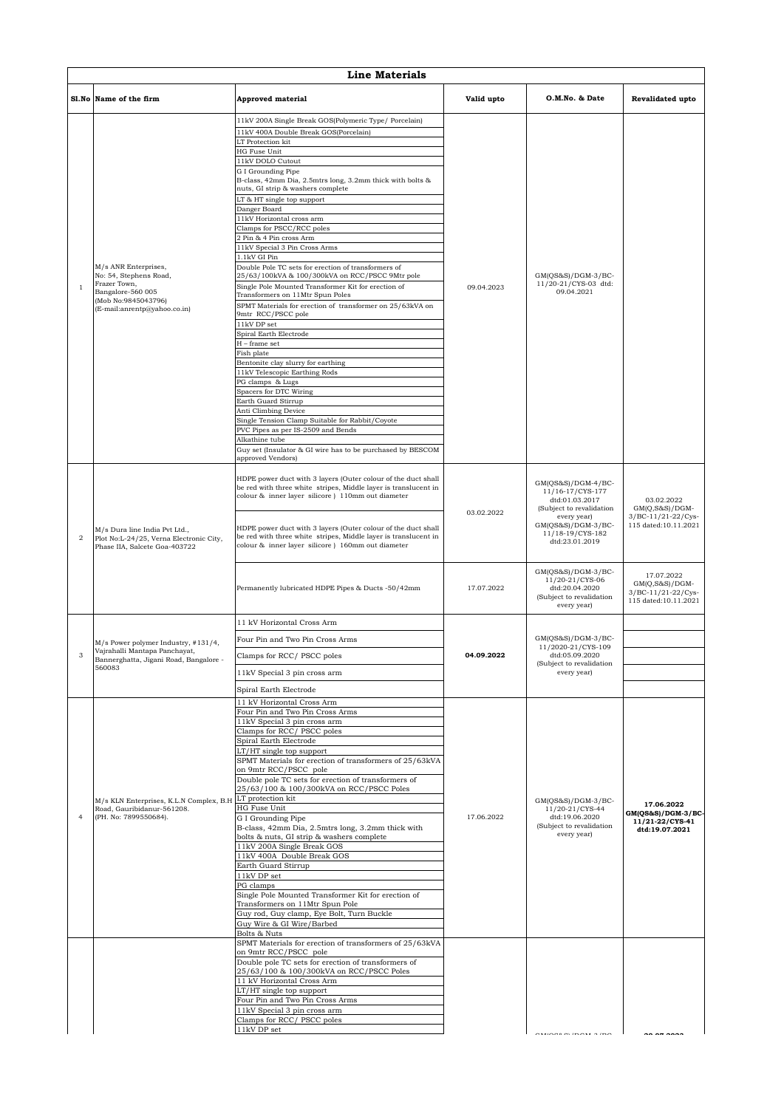|                | <b>Line Materials</b>                                                                                                                      |                                                                                                                                                                                                                                                                                                                                                                                                                                                                                                                                                                                                                                                                                                                                                                                                                                                                                                                                                                                                                                                                                                                                                                                         |            |                                                                                                                                                                                                              |                                                                                             |  |  |  |
|----------------|--------------------------------------------------------------------------------------------------------------------------------------------|-----------------------------------------------------------------------------------------------------------------------------------------------------------------------------------------------------------------------------------------------------------------------------------------------------------------------------------------------------------------------------------------------------------------------------------------------------------------------------------------------------------------------------------------------------------------------------------------------------------------------------------------------------------------------------------------------------------------------------------------------------------------------------------------------------------------------------------------------------------------------------------------------------------------------------------------------------------------------------------------------------------------------------------------------------------------------------------------------------------------------------------------------------------------------------------------|------------|--------------------------------------------------------------------------------------------------------------------------------------------------------------------------------------------------------------|---------------------------------------------------------------------------------------------|--|--|--|
|                | Sl.No Name of the firm                                                                                                                     | <b>Approved material</b>                                                                                                                                                                                                                                                                                                                                                                                                                                                                                                                                                                                                                                                                                                                                                                                                                                                                                                                                                                                                                                                                                                                                                                | Valid upto | O.M.No. & Date                                                                                                                                                                                               | Revalidated upto                                                                            |  |  |  |
| 1              | M/s ANR Enterprises,<br>No: 54, Stephens Road,<br>Frazer Town,<br>Bangalore-560 005<br>(Mob No:9845043796)<br>(E-mail:anrentp@yahoo.co.in) | 11kV 200A Single Break GOS(Polymeric Type/ Porcelain)<br>11kV 400A Double Break GOS(Porcelain)<br>LT Protection kit<br><b>HG Fuse Unit</b><br>11kV DOLO Cutout<br>G I Grounding Pipe<br>B-class, 42mm Dia, 2.5mtrs long, 3.2mm thick with bolts &<br>nuts, GI strip & washers complete<br>LT & HT single top support<br>Danger Board<br>11kV Horizontal cross arm<br>Clamps for PSCC/RCC poles<br>2 Pin & 4 Pin cross Arm<br>11kV Special 3 Pin Cross Arms<br>1.1kV GI Pin<br>Double Pole TC sets for erection of transformers of<br>25/63/100kVA & 100/300kVA on RCC/PSCC 9Mtr pole<br>Single Pole Mounted Transformer Kit for erection of<br>Transformers on 11Mtr Spun Poles<br>SPMT Materials for erection of transformer on 25/63kVA on<br>9mtr RCC/PSCC pole<br>11kV DP set<br>Spiral Earth Electrode<br>H - frame set<br>Fish plate<br>Bentonite clay slurry for earthing<br>11kV Telescopic Earthing Rods<br>PG clamps & Lugs<br>Spacers for DTC Wiring<br>Earth Guard Stirrup<br>Anti Climbing Device<br>Single Tension Clamp Suitable for Rabbit/Coyote<br>PVC Pipes as per IS-2509 and Bends<br>Alkathine tube<br>Guy set (Insulator & GI wire has to be purchased by BESCOM | 09.04.2023 | $GM(QS&S)/DGM-3/BC-$<br>11/20-21/CYS-03 dtd:<br>09.04.2021                                                                                                                                                   |                                                                                             |  |  |  |
| $\overline{2}$ | M/s Dura line India Pvt Ltd.,<br>Plot No:L-24/25, Verna Electronic City,<br>Phase IIA, Salcete Goa-403722                                  | approved Vendors)<br>HDPE power duct with 3 layers (Outer colour of the duct shall<br>be red with three white stripes, Middle layer is translucent in<br>colour & inner layer silicore ) 110mm out diameter<br>HDPE power duct with 3 layers (Outer colour of the duct shall<br>be red with three white stripes, Middle layer is translucent in<br>colour & inner layer silicore ) 160mm out diameter                                                                                                                                                                                                                                                                                                                                                                                                                                                                                                                                                                                                                                                                                                                                                                                   | 03.02.2022 | $GM(QS&S)/DGM-4/BC-$<br>11/16-17/CYS-177<br>dtd:01.03.2017<br>(Subject to revalidation<br>every year)<br>GM(QS&S)/DGM-3/BC-<br>11/18-19/CYS-182<br>dtd:23.01.2019<br>$GM(QS&S)/DGM-3/BC-$<br>11/20-21/CYS-06 | 03.02.2022<br>$GM(Q, S&S)/DGM-$<br>3/BC-11/21-22/Cys-<br>115 dated:10.11.2021<br>17.07.2022 |  |  |  |
|                |                                                                                                                                            | Permanently lubricated HDPE Pipes & Ducts -50/42mm                                                                                                                                                                                                                                                                                                                                                                                                                                                                                                                                                                                                                                                                                                                                                                                                                                                                                                                                                                                                                                                                                                                                      | 17.07.2022 | dtd:20.04.2020<br>(Subject to revalidation<br>every year)                                                                                                                                                    | $GM(Q, S&S)/DGM-$<br>3/BC-11/21-22/Cys-<br>115 dated:10.11.2021                             |  |  |  |
|                | M/s Power polymer Industry, #131/4,<br>Vajrahalli Mantapa Panchayat,<br>Bannerghatta, Jigani Road, Bangalore -<br>560083                   | 11 kV Horizontal Cross Arm<br>Four Pin and Two Pin Cross Arms<br>Clamps for RCC/PSCC poles<br>11kV Special 3 pin cross arm                                                                                                                                                                                                                                                                                                                                                                                                                                                                                                                                                                                                                                                                                                                                                                                                                                                                                                                                                                                                                                                              | 04.09.2022 | GM(QS&S)/DGM-3/BC-<br>11/2020-21/CYS-109<br>dtd:05.09.2020<br>(Subject to revalidation<br>every year)                                                                                                        |                                                                                             |  |  |  |
| $\overline{4}$ | M/s KLN Enterprises, K.L.N Complex, B.H<br>Road, Gauribidanur-561208.<br>(PH. No: 7899550684).                                             | Spiral Earth Electrode<br>11 kV Horizontal Cross Arm<br>Four Pin and Two Pin Cross Arms<br>11kV Special 3 pin cross arm<br>Clamps for RCC/PSCC poles<br>Spiral Earth Electrode<br>LT/HT single top support<br>SPMT Materials for erection of transformers of 25/63kVA<br>on 9mtr RCC/PSCC pole<br>Double pole TC sets for erection of transformers of<br>25/63/100 & 100/300kVA on RCC/PSCC Poles<br>LT protection kit<br>HG Fuse Unit<br>G I Grounding Pipe<br>B-class, 42mm Dia, 2.5mtrs long, 3.2mm thick with<br>bolts & nuts, GI strip & washers complete<br>11kV 200A Single Break GOS<br>11kV 400A Double Break GOS<br>Earth Guard Stirrup<br>11kV DP set<br>PG clamps<br>Single Pole Mounted Transformer Kit for erection of<br>Transformers on 11Mtr Spun Pole<br>Guy rod, Guy clamp, Eye Bolt, Turn Buckle<br>Guy Wire & GI Wire/Barbed<br>Bolts & Nuts                                                                                                                                                                                                                                                                                                                       | 17.06.2022 | $GM(QS&S)/DGM-3/BC-$<br>11/20-21/CYS-44<br>dtd:19.06.2020<br>(Subject to revalidation<br>every year)                                                                                                         | 17.06.2022<br>GM(QS&S)/DGM-3/BC-<br>11/21-22/CYS-41<br>dtd:19.07.2021                       |  |  |  |
|                |                                                                                                                                            | SPMT Materials for erection of transformers of 25/63kVA<br>on 9mtr RCC/PSCC pole<br>Double pole TC sets for erection of transformers of<br>25/63/100 & 100/300kVA on RCC/PSCC Poles<br>11 kV Horizontal Cross Arm<br>LT/HT single top support<br>Four Pin and Two Pin Cross Arms<br>11kV Special 3 pin cross arm<br>Clamps for RCC/PSCC poles<br>11kV DP set                                                                                                                                                                                                                                                                                                                                                                                                                                                                                                                                                                                                                                                                                                                                                                                                                            |            | $\overline{a}$                                                                                                                                                                                               |                                                                                             |  |  |  |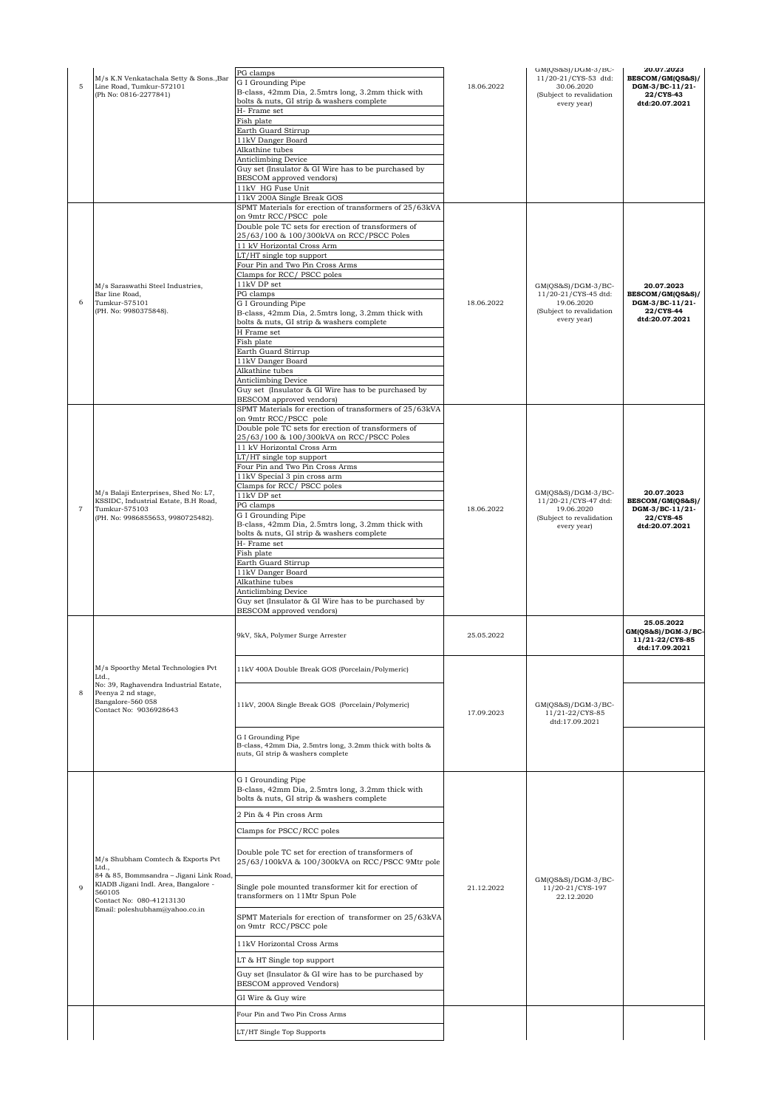| 5              | M/s K.N Venkatachala Setty & Sons., Bar<br>Line Road, Tumkur-572101<br>(Ph No: 0816-2277841)                                                                                                          | PG clamps<br>G I Grounding Pipe<br>B-class, 42mm Dia, 2.5mtrs long, 3.2mm thick with<br>bolts & nuts, GI strip & washers complete<br>H- Frame set<br>Fish plate<br>Earth Guard Stirrup<br>11kV Danger Board<br>Alkathine tubes<br><b>Anticlimbing Device</b><br>Guy set (Insulator & GI Wire has to be purchased by<br>BESCOM approved vendors)<br>11kV HG Fuse Unit<br>11kV 200A Single Break GOS                                                                                                                                                                                                                                                                                                                     | 18.06.2022 | GM(QS&S)/DGM-3/BC-<br>11/20-21/CYS-53 dtd:<br>30.06.2020<br>(Subject to revalidation<br>every year) | 20.07.2023<br>BESCOM/GM(QS&S)/<br>DGM-3/BC-11/21-<br>22/CYS-43<br>dtd:20.07.2021 |
|----------------|-------------------------------------------------------------------------------------------------------------------------------------------------------------------------------------------------------|------------------------------------------------------------------------------------------------------------------------------------------------------------------------------------------------------------------------------------------------------------------------------------------------------------------------------------------------------------------------------------------------------------------------------------------------------------------------------------------------------------------------------------------------------------------------------------------------------------------------------------------------------------------------------------------------------------------------|------------|-----------------------------------------------------------------------------------------------------|----------------------------------------------------------------------------------|
| 6              | M/s Saraswathi Steel Industries,<br>Bar line Road,<br>Tumkur-575101<br>(PH. No: 9980375848).                                                                                                          | SPMT Materials for erection of transformers of 25/63kVA<br>on 9mtr RCC/PSCC pole<br>Double pole TC sets for erection of transformers of<br>25/63/100 & 100/300kVA on RCC/PSCC Poles<br>11 kV Horizontal Cross Arm<br>LT/HT single top support<br>Four Pin and Two Pin Cross Arms<br>Clamps for RCC/ PSCC poles<br>11kV DP set<br>PG clamps<br>G I Grounding Pipe<br>B-class, 42mm Dia, 2.5mtrs long, 3.2mm thick with<br>bolts & nuts, GI strip & washers complete<br>H Frame set<br>Fish plate<br>Earth Guard Stirrup<br>11kV Danger Board<br>Alkathine tubes<br><b>Anticlimbing Device</b><br>Guy set (Insulator & GI Wire has to be purchased by<br><b>BESCOM</b> approved vendors)                                 | 18.06.2022 | GM(QS&S)/DGM-3/BC-<br>11/20-21/CYS-45 dtd:<br>19.06.2020<br>(Subject to revalidation<br>every year) | 20.07.2023<br>BESCOM/GM(QS&S)/<br>DGM-3/BC-11/21-<br>22/CYS-44<br>dtd:20.07.2021 |
| $\overline{7}$ | M/s Balaji Enterprises, Shed No: L7,<br>KSSIDC, Industrial Estate, B.H Road,<br>Tumkur-575103<br>(PH. No: 9986855653, 9980725482).                                                                    | SPMT Materials for erection of transformers of 25/63kVA<br>on 9mtr RCC/PSCC pole<br>Double pole TC sets for erection of transformers of<br>25/63/100 & 100/300kVA on RCC/PSCC Poles<br>11 kV Horizontal Cross Arm<br>LT/HT single top support<br>Four Pin and Two Pin Cross Arms<br>11kV Special 3 pin cross arm<br>Clamps for RCC/PSCC poles<br>11kV DP set<br>PG clamps<br>G I Grounding Pipe<br>B-class, 42mm Dia, 2.5mtrs long, 3.2mm thick with<br>bolts & nuts, GI strip & washers complete<br>H- Frame set<br>Fish plate<br>Earth Guard Stirrup<br>11kV Danger Board<br>Alkathine tubes<br><b>Anticlimbing Device</b><br>Guy set (Insulator & GI Wire has to be purchased by<br><b>BESCOM</b> approved vendors) | 18.06.2022 | GM(QS&S)/DGM-3/BC-<br>11/20-21/CYS-47 dtd:<br>19.06.2020<br>(Subject to revalidation<br>every year) | 20.07.2023<br>BESCOM/GM(QS&S)/<br>DGM-3/BC-11/21-<br>22/CYS-45<br>dtd:20.07.2021 |
|                |                                                                                                                                                                                                       |                                                                                                                                                                                                                                                                                                                                                                                                                                                                                                                                                                                                                                                                                                                        |            |                                                                                                     | 25.05.2022<br>GM(QS&S)/DGM-3/BC-                                                 |
|                |                                                                                                                                                                                                       | 9kV, 5kA, Polymer Surge Arrester                                                                                                                                                                                                                                                                                                                                                                                                                                                                                                                                                                                                                                                                                       | 25.05.2022 |                                                                                                     | 11/21-22/CYS-85<br>dtd:17.09.2021                                                |
| 8              | M/s Spoorthy Metal Technologies Pvt<br>Ltd.,<br>No: 39, Raghavendra Industrial Estate,<br>Peenya 2 nd stage,<br>Bangalore-560 058<br>Contact No: 9036928643                                           | 11kV 400A Double Break GOS (Porcelain/Polymeric)<br>11kV, 200A Single Break GOS (Porcelain/Polymeric)<br>G I Grounding Pipe<br>B-class, 42mm Dia, 2.5mtrs long, 3.2mm thick with bolts &<br>nuts, GI strip & washers complete                                                                                                                                                                                                                                                                                                                                                                                                                                                                                          | 17.09.2023 | $GM(QS&S)/DGM-3/BC-$<br>11/21-22/CYS-85<br>dtd:17.09.2021                                           |                                                                                  |
| $\mathbf{Q}$   | M/s Shubham Comtech & Exports Pvt<br>Ltd.,<br>84 & 85, Bommsandra - Jigani Link Road,<br>KIADB Jigani Indl. Area, Bangalore -<br>560105<br>Contact No: 080-41213130<br>Email: poleshubham@yahoo.co.in | G I Grounding Pipe<br>B-class, 42mm Dia, 2.5mtrs long, 3.2mm thick with<br>bolts & nuts, GI strip & washers complete<br>2 Pin & 4 Pin cross Arm<br>Clamps for PSCC/RCC poles<br>Double pole TC set for erection of transformers of<br>25/63/100kVA & 100/300kVA on RCC/PSCC 9Mtr pole<br>Single pole mounted transformer kit for erection of<br>transformers on 11Mtr Spun Pole<br>SPMT Materials for erection of transformer on 25/63kVA<br>on 9mtr RCC/PSCC pole<br>11kV Horizontal Cross Arms<br>LT & HT Single top support<br>Guy set (Insulator & GI wire has to be purchased by<br>BESCOM approved Vendors)<br>GI Wire & Guy wire                                                                                | 21.12.2022 | GM(QS&S)/DGM-3/BC-<br>11/20-21/CYS-197<br>22.12.2020                                                |                                                                                  |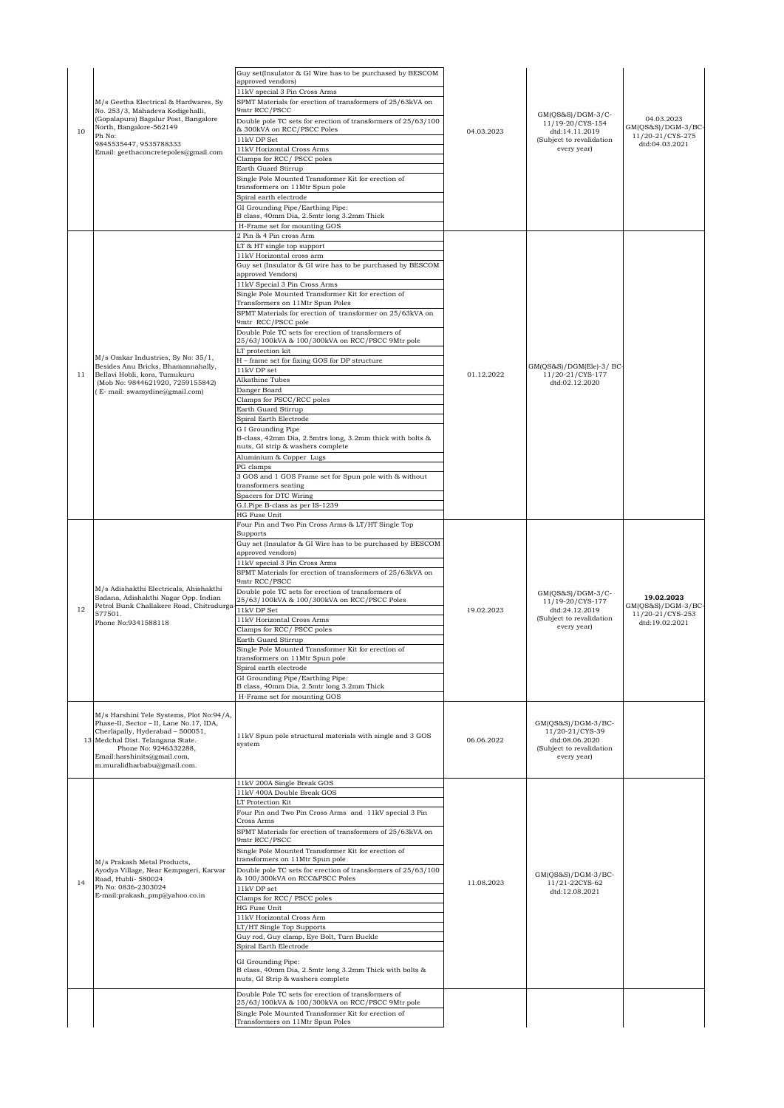| 10 | M/s Geetha Electrical & Hardwares, Sy<br>No. 253/3, Mahadeva Kodigehalli,<br>(Gopalapura) Bagalur Post, Bangalore<br>North, Bangalore-562149<br>Ph No:<br>9845535447, 9535788333<br>Email: geethaconcretepoles@gmail.com                            | Guy set(Insulator & GI Wire has to be purchased by BESCOM<br>approved vendors)<br>11kV special 3 Pin Cross Arms<br>SPMT Materials for erection of transformers of 25/63kVA on<br>9mtr RCC/PSCC<br>Double pole TC sets for erection of transformers of 25/63/100<br>& 300kVA on RCC/PSCC Poles<br>11kV DP Set<br>11kV Horizontal Cross Arms<br>Clamps for RCC/ PSCC poles<br>Earth Guard Stirrup<br>Single Pole Mounted Transformer Kit for erection of<br>transformers on 11Mtr Spun pole<br>Spiral earth electrode<br>GI Grounding Pipe/Earthing Pipe:<br>B class, 40mm Dia, 2.5mtr long 3.2mm Thick<br>H-Frame set for mounting GOS                                                                                                                                                                                                                                                                                                                                                                                                      | 04.03.2023 | $GM(QS&S)/DGM-3/C-$<br>11/19-20/CYS-154<br>dtd:14.11.2019<br>(Subject to revalidation<br>every year) | 04.03.2023<br>GM(QS&S)/DGM-3/BC-<br>11/20-21/CYS-275<br>dtd:04.03.2021 |
|----|-----------------------------------------------------------------------------------------------------------------------------------------------------------------------------------------------------------------------------------------------------|--------------------------------------------------------------------------------------------------------------------------------------------------------------------------------------------------------------------------------------------------------------------------------------------------------------------------------------------------------------------------------------------------------------------------------------------------------------------------------------------------------------------------------------------------------------------------------------------------------------------------------------------------------------------------------------------------------------------------------------------------------------------------------------------------------------------------------------------------------------------------------------------------------------------------------------------------------------------------------------------------------------------------------------------|------------|------------------------------------------------------------------------------------------------------|------------------------------------------------------------------------|
| 11 | M/s Omkar Industries, Sy No: 35/1,<br>Besides Anu Bricks, Bhamannahally,<br>Bellavi Hobli, kora, Tumukuru<br>(Mob No: 9844621920, 7259155842)<br>(E- mail: swamydine@gmail.com)                                                                     | 2 Pin & 4 Pin cross Arm<br>LT & HT single top support<br>11kV Horizontal cross arm<br>Guy set (Insulator & GI wire has to be purchased by BESCOM<br>approved Vendors)<br>11kV Special 3 Pin Cross Arms<br>Single Pole Mounted Transformer Kit for erection of<br>Transformers on 11Mtr Spun Poles<br>SPMT Materials for erection of transformer on 25/63kVA on<br>9mtr RCC/PSCC pole<br>Double Pole TC sets for erection of transformers of<br>25/63/100kVA & 100/300kVA on RCC/PSCC 9Mtr pole<br>LT protection kit<br>H - frame set for fixing GOS for DP structure<br>11kV DP set<br>Alkathine Tubes<br>Danger Board<br>Clamps for PSCC/RCC poles<br>Earth Guard Stirrup<br>Spiral Earth Electrode<br>G I Grounding Pipe<br>B-class, 42mm Dia, 2.5mtrs long, 3.2mm thick with bolts &<br>nuts, GI strip & washers complete<br>Aluminium & Copper Lugs<br>PG clamps<br>3 GOS and 1 GOS Frame set for Spun pole with & without<br>transformers seating<br>Spacers for DTC Wiring<br>G.I.Pipe B-class as per IS-1239<br><b>HG Fuse Unit</b> | 01.12.2022 | GM(QS&S)/DGM(Ele)-3/ BC-<br>11/20-21/CYS-177<br>dtd:02.12.2020                                       |                                                                        |
| 12 | M/s Adishakthi Electricals, Ahishakthi<br>Sadana, Adishakthi Nagar Opp. Indian<br>Petrol Bunk Challakere Road, Chitradurga<br>577501.<br>Phone No:9341588118                                                                                        | Four Pin and Two Pin Cross Arms & LT/HT Single Top<br>Supports<br>Guy set (Insulator & GI Wire has to be purchased by BESCOM<br>approved vendors)<br>11kV special 3 Pin Cross Arms<br>SPMT Materials for erection of transformers of 25/63kVA on<br>9mtr RCC/PSCC<br>Double pole TC sets for erection of transformers of<br>25/63/100kVA & 100/300kVA on RCC/PSCC Poles<br>11kV DP Set<br>11kV Horizontal Cross Arms<br>Clamps for RCC/ PSCC poles<br>Earth Guard Stirrup<br>Single Pole Mounted Transformer Kit for erection of<br>transformers on 11Mtr Spun pole<br>Spiral earth electrode<br>GI Grounding Pipe/Earthing Pipe:<br>B class, 40mm Dia, 2.5mtr long 3.2mm Thick<br>H-Frame set for mounting GOS                                                                                                                                                                                                                                                                                                                            | 19.02.2023 | GM(OS&S)/DGM-3/C-<br>11/19-20/CYS-177<br>dtd:24.12.2019<br>(Subject to revalidation<br>every year)   | 19.02.2023<br>GM(QS&S)/DGM-3/BC-<br>11/20-21/CYS-253<br>dtd:19.02.2021 |
|    | M/s Harshini Tele Systems, Plot No:94/A,<br>Phase-II, Sector - II, Lane No.17, IDA,<br>Cherlapally, Hyderabad - 500051,<br>13 Medchal Dist. Telangana State.<br>Phone No: 9246332288,<br>Email:harshinits@gmail.com,<br>m.muralidharbabu@gmail.com. | 11kV Spun pole structural materials with single and 3 GOS<br>system                                                                                                                                                                                                                                                                                                                                                                                                                                                                                                                                                                                                                                                                                                                                                                                                                                                                                                                                                                        | 06.06.2022 | $GM(QS&S)/DGM-3/BC-$<br>11/20-21/CYS-39<br>dtd:08.06.2020<br>(Subject to revalidation<br>every year) |                                                                        |
| 14 | M/s Prakash Metal Products,<br>Ayodya Village, Near Kempageri, Karwar<br>Road, Hubli-580024<br>Ph No: 0836-2303024<br>E-mail:prakash_pmp@yahoo.co.in                                                                                                | 11kV 200A Single Break GOS<br>11kV 400A Double Break GOS<br>LT Protection Kit<br>Four Pin and Two Pin Cross Arms and 11kV special 3 Pin<br>Cross Arms<br>SPMT Materials for erection of transformers of 25/63kVA on<br>9mtr RCC/PSCC<br>Single Pole Mounted Transformer Kit for erection of<br>transformers on 11Mtr Spun pole<br>Double pole TC sets for erection of transformers of 25/63/100<br>& 100/300kVA on RCC&PSCC Poles<br>11kV DP set<br>Clamps for RCC/ PSCC poles<br><b>HG Fuse Unit</b><br>11kV Horizontal Cross Arm<br>LT/HT Single Top Supports<br>Guy rod, Guy clamp, Eye Bolt, Turn Buckle<br>Spiral Earth Electrode<br>GI Grounding Pipe:<br>B class, 40mm Dia, 2.5mtr long 3.2mm Thick with bolts &<br>nuts, GI Strip & washers complete                                                                                                                                                                                                                                                                               | 11.08.2023 | $GM(QS&S)/DGM-3/BC-$<br>11/21-22CYS-62<br>dtd:12.08.2021                                             |                                                                        |
|    |                                                                                                                                                                                                                                                     | Double Pole TC sets for erection of transformers of<br>25/63/100kVA & 100/300kVA on RCC/PSCC 9Mtr pole<br>Single Pole Mounted Transformer Kit for erection of<br>Transformers on 11Mtr Spun Poles                                                                                                                                                                                                                                                                                                                                                                                                                                                                                                                                                                                                                                                                                                                                                                                                                                          |            |                                                                                                      |                                                                        |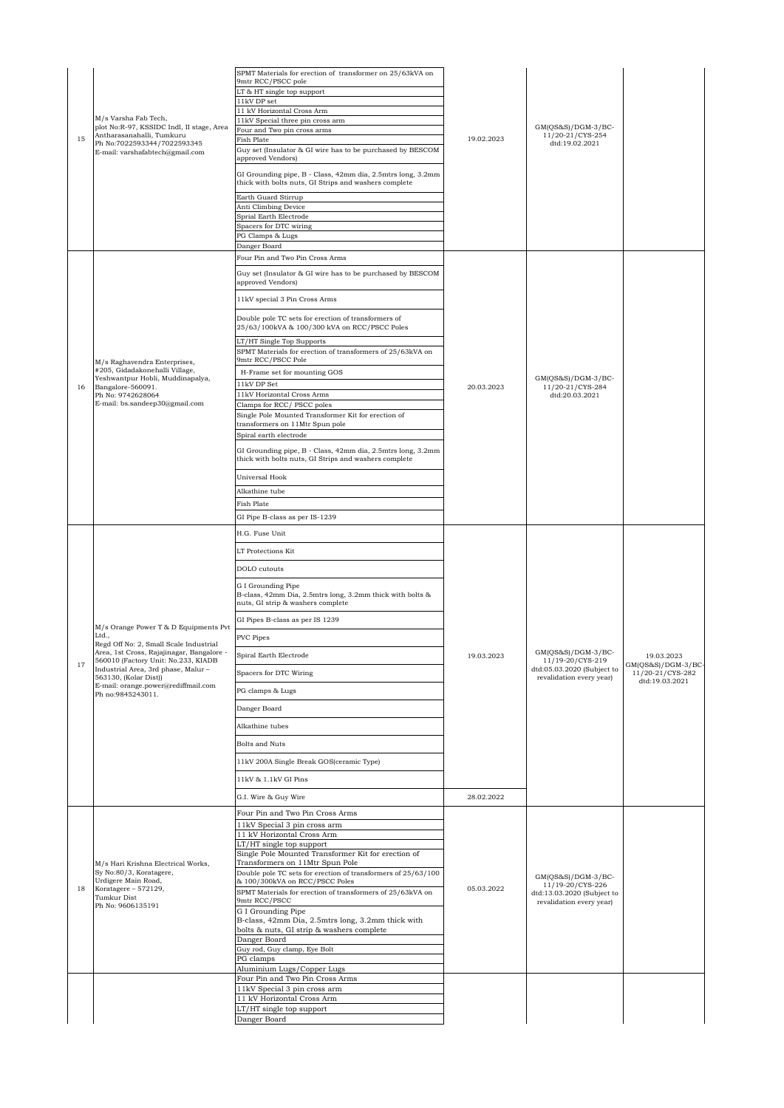| 15 | M/s Varsha Fab Tech,<br>plot No:R-97, KSSIDC Indl, II stage, Area<br>Antharasanahalli, Tumkuru<br>Ph No:7022593344/7022593345<br>E-mail: varshafabtech@gmail.com                                                                                                                                        | SPMT Materials for erection of transformer on 25/63kVA on<br>9mtr RCC/PSCC pole<br>LT & HT single top support<br>11kV DP set<br>11 kV Horizontal Cross Arm<br>11kV Special three pin cross arm<br>Four and Two pin cross arms<br><b>Fish Plate</b><br>Guy set (Insulator & GI wire has to be purchased by BESCOM<br>approved Vendors)<br>GI Grounding pipe, B - Class, 42mm dia, 2.5mtrs long, 3.2mm<br>thick with bolts nuts, GI Strips and washers complete<br>Earth Guard Stirrup<br>Anti Climbing Device<br>Sprial Earth Electrode<br>Spacers for DTC wiring<br>PG Clamps & Lugs<br>Danger Board                                                                                                                                                                                                                   | 19.02.2023               | $GM(QS&S)/DGM-3/BC-$<br>11/20-21/CYS-254<br>dtd:19.02.2021                                         |                                                                          |
|----|---------------------------------------------------------------------------------------------------------------------------------------------------------------------------------------------------------------------------------------------------------------------------------------------------------|------------------------------------------------------------------------------------------------------------------------------------------------------------------------------------------------------------------------------------------------------------------------------------------------------------------------------------------------------------------------------------------------------------------------------------------------------------------------------------------------------------------------------------------------------------------------------------------------------------------------------------------------------------------------------------------------------------------------------------------------------------------------------------------------------------------------|--------------------------|----------------------------------------------------------------------------------------------------|--------------------------------------------------------------------------|
| 16 | M/s Raghavendra Enterprises,<br>#205, Gidadakonehalli Village,<br>Yeshwantpur Hobli, Muddinapalya,<br>Bangalore-560091.<br>Ph No: 9742628064<br>E-mail: bs.sandeep30@gmail.com                                                                                                                          | Four Pin and Two Pin Cross Arms<br>Guy set (Insulator & GI wire has to be purchased by BESCOM<br>approved Vendors)<br>11kV special 3 Pin Cross Arms<br>Double pole TC sets for erection of transformers of<br>25/63/100kVA & 100/300 kVA on RCC/PSCC Poles<br>LT/HT Single Top Supports<br>SPMT Materials for erection of transformers of 25/63kVA on<br>9mtr RCC/PSCC Pole<br>H-Frame set for mounting GOS<br>11kV DP Set<br>11kV Horizontal Cross Arms<br>Clamps for RCC/ PSCC poles<br>Single Pole Mounted Transformer Kit for erection of<br>transformers on 11Mtr Spun pole<br>Spiral earth electrode<br>GI Grounding pipe, B - Class, 42mm dia, 2.5mtrs long, 3.2mm<br>thick with bolts nuts, GI Strips and washers complete<br>Universal Hook<br>Alkathine tube<br>Fish Plate<br>GI Pipe B-class as per IS-1239 | 20.03.2023               | $GM(QS&S)/DGM-3/BC-$<br>11/20-21/CYS-284<br>dtd:20.03.2021                                         |                                                                          |
| 17 | M/s Orange Power T & D Equipments Pvt<br>Ltd.,<br>Regd Off No: 2, Small Scale Industrial<br>Area, 1st Cross, Rajajinagar, Bangalore -<br>560010 (Factory Unit: No.233, KIADB<br>Industrial Area, 3rd phase, Malur-<br>563130, (Kolar Dist))<br>E-mail: orange.power@rediffmail.com<br>Ph no:9845243011. | H.G. Fuse Unit<br>LT Protections Kit<br>DOLO cutouts<br>G I Grounding Pipe<br>B-class, 42mm Dia, 2.5mtrs long, 3.2mm thick with bolts &<br>nuts, GI strip & washers complete<br>GI Pipes B-class as per IS 1239<br>PVC Pipes<br>Spiral Earth Electrode<br>Spacers for DTC Wiring<br>PG clamps & Lugs<br>Danger Board<br>Alkathine tubes<br><b>Bolts and Nuts</b><br>11kV 200A Single Break GOS(ceramic Type)<br>11kV & 1.1kV GI Pins<br>G.I. Wire & Guy Wire                                                                                                                                                                                                                                                                                                                                                           | 19.03.2023<br>28.02.2022 | GM(QS&S)/DGM-3/BC-<br>11/19-20/CYS-219<br>dtd:05.03.2020 (Subject to<br>revalidation every year)   | 19.03.2023<br>$GM(QS&S)/DGM-3/BC-$<br>11/20-21/CYS-282<br>dtd:19.03.2021 |
| 18 | M/s Hari Krishna Electrical Works,<br>Sy No:80/3, Koratagere,<br>Urdigere Main Road,<br>Koratagere - 572129,<br>Tumkur Dist<br>Ph No: 9606135191                                                                                                                                                        | Four Pin and Two Pin Cross Arms<br>11kV Special 3 pin cross arm<br>11 kV Horizontal Cross Arm<br>LT/HT single top support<br>Single Pole Mounted Transformer Kit for erection of<br>Transformers on 11Mtr Spun Pole<br>Double pole TC sets for erection of transformers of 25/63/100<br>& 100/300kVA on RCC/PSCC Poles<br>SPMT Materials for erection of transformers of 25/63kVA on<br>9mtr RCC/PSCC<br>G I Grounding Pipe<br>B-class, 42mm Dia, 2.5mtrs long, 3.2mm thick with<br>bolts & nuts, GI strip & washers complete<br>Danger Board<br>Guy rod, Guy clamp, Eye Bolt<br>PG clamps<br>Aluminium Lugs/Copper Lugs<br>Four Pin and Two Pin Cross Arms<br>11kV Special 3 pin cross arm                                                                                                                            | 05.03.2022               | $GM(QS&S)/DGM-3/BC-$<br>11/19-20/CYS-226<br>dtd:13.03.2020 (Subject to<br>revalidation every year) |                                                                          |
|    |                                                                                                                                                                                                                                                                                                         | 11 kV Horizontal Cross Arm<br>LT/HT single top support<br>Danger Board                                                                                                                                                                                                                                                                                                                                                                                                                                                                                                                                                                                                                                                                                                                                                 |                          |                                                                                                    |                                                                          |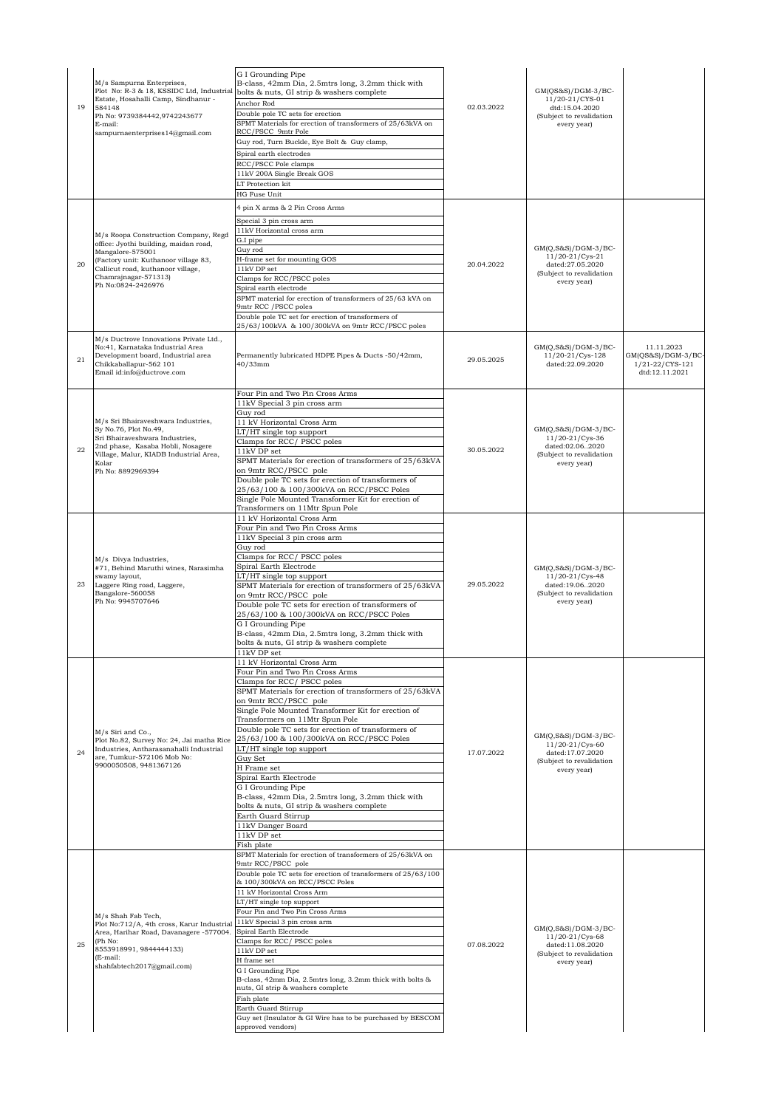| 19 | M/s Sampurna Enterprises,<br>Plot No: R-3 & 18, KSSIDC Ltd, Industrial<br>Estate, Hosahalli Camp, Sindhanur -<br>584148<br>Ph No: 9739384442,9742243677<br>E-mail:<br>sampurnaenterprises14@gmail.com                        | G I Grounding Pipe<br>B-class, 42mm Dia, 2.5mtrs long, 3.2mm thick with<br>bolts & nuts, GI strip & washers complete<br>Anchor Rod<br>Double pole TC sets for erection<br>SPMT Materials for erection of transformers of 25/63kVA on<br>RCC/PSCC 9mtr Pole<br>Guy rod, Turn Buckle, Eye Bolt & Guy clamp,<br>Spiral earth electrodes<br>RCC/PSCC Pole clamps<br>11kV 200A Single Break GOS<br>LT Protection kit<br><b>HG Fuse Unit</b>                                                                                                                                                                                                                               | 02.03.2022 | $GM(QS&S)/DGM-3/BC-$<br>11/20-21/CYS-01<br>dtd:15.04.2020<br>(Subject to revalidation<br>every year)     |                                                                         |
|----|------------------------------------------------------------------------------------------------------------------------------------------------------------------------------------------------------------------------------|----------------------------------------------------------------------------------------------------------------------------------------------------------------------------------------------------------------------------------------------------------------------------------------------------------------------------------------------------------------------------------------------------------------------------------------------------------------------------------------------------------------------------------------------------------------------------------------------------------------------------------------------------------------------|------------|----------------------------------------------------------------------------------------------------------|-------------------------------------------------------------------------|
| 20 | M/s Roopa Construction Company, Regd<br>office: Jyothi building, maidan road,<br>Mangalore-575001<br>(Factory unit: Kuthanoor village 83,<br>Callicut road, kuthanoor village,<br>Chamrajnagar-571313)<br>Ph No:0824-2426976 | 4 pin X arms & 2 Pin Cross Arms<br>Special 3 pin cross arm<br>11kV Horizontal cross arm<br>G.I pipe<br>Guv rod<br>H-frame set for mounting GOS<br>11kV DP set<br>Clamps for RCC/PSCC poles<br>Spiral earth electrode<br>SPMT material for erection of transformers of 25/63 kVA on<br>9mtr RCC / PSCC poles<br>Double pole TC set for erection of transformers of<br>25/63/100kVA & 100/300kVA on 9mtr RCC/PSCC poles                                                                                                                                                                                                                                                | 20.04.2022 | $GM(Q, S&S)/DGM-3/BC-$<br>11/20-21/Cys-21<br>dated:27.05.2020<br>(Subject to revalidation<br>every year) |                                                                         |
| 21 | M/s Ductrove Innovations Private Ltd.,<br>No:41, Karnataka Industrial Area<br>Development board, Industrial area<br>Chikkaballapur-562 101<br>Email id:info@ductrove.com                                                     | Permanently lubricated HDPE Pipes & Ducts -50/42mm,<br>40/33mm                                                                                                                                                                                                                                                                                                                                                                                                                                                                                                                                                                                                       | 29.05.2025 | $GM(Q,S&S)/DGM-3/BC-$<br>11/20-21/Cys-128<br>dated:22.09.2020                                            | 11.11.2023<br>$GM(QS&S)/DGM-3/BC-$<br>1/21-22/CYS-121<br>dtd:12.11.2021 |
| 22 | M/s Sri Bhairaveshwara Industries,<br>Sy No.76, Plot No.49,<br>Sri Bhairaveshwara Industries,<br>2nd phase, Kasaba Hobli, Nosagere<br>Village, Malur, KIADB Industrial Area,<br>Kolar<br>Ph No: 8892969394                   | Four Pin and Two Pin Cross Arms<br>11kV Special 3 pin cross arm<br>Guy rod<br>11 kV Horizontal Cross Arm<br>LT/HT single top support<br>Clamps for RCC/PSCC poles<br>11kV DP set<br>SPMT Materials for erection of transformers of 25/63kVA<br>on 9mtr RCC/PSCC pole<br>Double pole TC sets for erection of transformers of<br>25/63/100 & 100/300kVA on RCC/PSCC Poles<br>Single Pole Mounted Transformer Kit for erection of<br>Transformers on 11Mtr Spun Pole                                                                                                                                                                                                    | 30.05.2022 | $GM(Q,S&S)/DGM-3/BC-$<br>11/20-21/Cys-36<br>dated:02.062020<br>(Subject to revalidation<br>every year)   |                                                                         |
| 23 | M/s Divya Industries,<br>#71, Behind Maruthi wines, Narasimha<br>swamy layout,<br>Laggere Ring road, Laggere,<br>Bangalore-560058<br>Ph No: 9945707646                                                                       | 11 kV Horizontal Cross Arm<br>Four Pin and Two Pin Cross Arms<br>11kV Special 3 pin cross arm<br>Guy rod<br>Clamps for RCC/PSCC poles<br>Spiral Earth Electrode<br>LT/HT single top support<br>SPMT Materials for erection of transformers of 25/63kVA<br>on 9mtr RCC/PSCC pole<br>Double pole TC sets for erection of transformers of<br>25/63/100 & 100/300kVA on RCC/PSCC Poles<br>G I Grounding Pipe<br>B-class, 42mm Dia, 2.5mtrs long, 3.2mm thick with<br>bolts & nuts, GI strip & washers complete<br>11kV DP set                                                                                                                                            | 29.05.2022 | $GM(Q,S&S)/DGM-3/BC-$<br>11/20-21/Cys-48<br>dated:19.062020<br>(Subject to revalidation<br>every year)   |                                                                         |
| 24 | M/s Siri and Co.,<br>Plot No.82, Survey No: 24, Jai matha Rice<br>Industries, Antharasanahalli Industrial<br>are, Tumkur-572106 Mob No:<br>9900050508, 9481367126                                                            | 11 kV Horizontal Cross Arm<br>Four Pin and Two Pin Cross Arms<br>Clamps for RCC/PSCC poles<br>SPMT Materials for erection of transformers of 25/63kVA<br>on 9mtr RCC/PSCC pole<br>Single Pole Mounted Transformer Kit for erection of<br>Transformers on 11Mtr Spun Pole<br>Double pole TC sets for erection of transformers of<br>25/63/100 & 100/300kVA on RCC/PSCC Poles<br>LT/HT single top support<br>Guy Set<br>H Frame set<br>Spiral Earth Electrode<br>G I Grounding Pipe<br>B-class, 42mm Dia, 2.5mtrs long, 3.2mm thick with<br>bolts & nuts, GI strip & washers complete<br>Earth Guard Stirrup<br>11kV Danger Board<br>11kV DP set                       | 17.07.2022 | $GM(Q,S&S)/DGM-3/BC-$<br>11/20-21/Cys-60<br>dated:17.07.2020<br>(Subject to revalidation<br>every year)  |                                                                         |
| 25 | M/s Shah Fab Tech,<br>Plot No:712/A, 4th cross, Karur Industrial<br>Area, Harihar Road, Davanagere -577004.<br>(Ph No:<br>8553918991, 9844444133)<br>(E-mail:<br>shahfabtech2017@gmail.com)                                  | Fish plate<br>SPMT Materials for erection of transformers of 25/63kVA on<br>9mtr RCC/PSCC pole<br>Double pole TC sets for erection of transformers of 25/63/100<br>& 100/300kVA on RCC/PSCC Poles<br>11 kV Horizontal Cross Arm<br>LT/HT single top support<br>Four Pin and Two Pin Cross Arms<br>11kV Special 3 pin cross arm<br>Spiral Earth Electrode<br>Clamps for RCC/ PSCC poles<br>11kV DP set<br>H frame set<br>G I Grounding Pipe<br>B-class, 42mm Dia, 2.5mtrs long, 3.2mm thick with bolts &<br>nuts, GI strip & washers complete<br>Fish plate<br>Earth Guard Stirrup<br>Guy set (Insulator & GI Wire has to be purchased by BESCOM<br>approved vendors) | 07.08.2022 | $GM(Q,S&S)/DGM-3/BC-$<br>11/20-21/Cys-68<br>dated:11.08.2020<br>(Subject to revalidation<br>every year)  |                                                                         |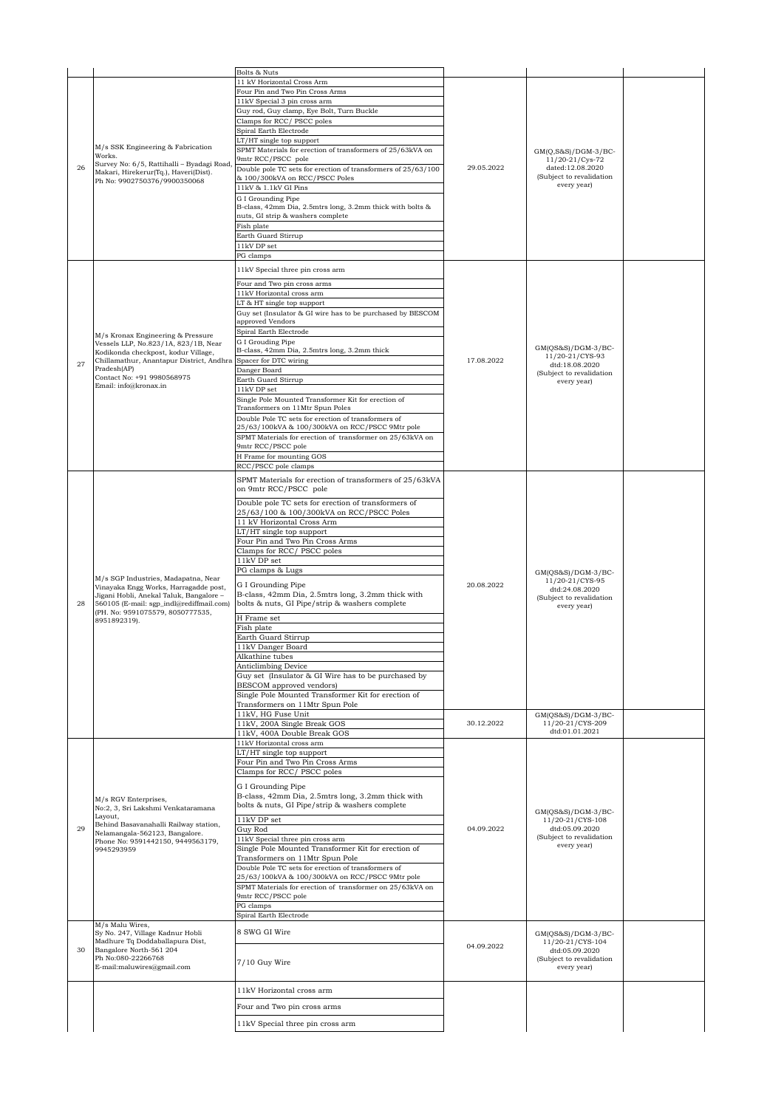|    |                                                                           | Bolts & Nuts                                                  |            |                                                                              |  |
|----|---------------------------------------------------------------------------|---------------------------------------------------------------|------------|------------------------------------------------------------------------------|--|
|    |                                                                           | 11 kV Horizontal Cross Arm                                    |            |                                                                              |  |
|    |                                                                           | Four Pin and Two Pin Cross Arms                               |            |                                                                              |  |
|    |                                                                           | 11kV Special 3 pin cross arm                                  |            |                                                                              |  |
|    |                                                                           | Guy rod, Guy clamp, Eye Bolt, Turn Buckle                     |            |                                                                              |  |
|    |                                                                           | Clamps for RCC/ PSCC poles                                    |            |                                                                              |  |
|    |                                                                           | Spiral Earth Electrode                                        |            |                                                                              |  |
|    |                                                                           | $LT/HT$ single top support                                    |            |                                                                              |  |
|    | M/s SSK Engineering & Fabrication                                         | SPMT Materials for erection of transformers of 25/63kVA on    |            |                                                                              |  |
|    | Works.                                                                    | 9mtr RCC/PSCC pole                                            |            | $GM(Q,S&S)/DGM-3/BC-$<br>11/20-21/Cys-72                                     |  |
| 26 | Survey No: 6/5, Rattihalli - Byadagi Road                                 | Double pole TC sets for erection of transformers of 25/63/100 | 29.05.2022 | dated:12.08.2020                                                             |  |
|    | Makari, Hirekerur(Tq.), Haveri(Dist).                                     | & 100/300kVA on RCC/PSCC Poles                                |            | (Subject to revalidation                                                     |  |
|    | Ph No: 9902750376/9900350068                                              | 11kV & 1.1kV GI Pins                                          |            | every year)                                                                  |  |
|    |                                                                           | G I Grounding Pipe                                            |            |                                                                              |  |
|    |                                                                           | B-class, 42mm Dia, 2.5mtrs long, 3.2mm thick with bolts &     |            |                                                                              |  |
|    |                                                                           | nuts, GI strip & washers complete                             |            |                                                                              |  |
|    |                                                                           | Fish plate                                                    |            |                                                                              |  |
|    |                                                                           | Earth Guard Stirrup                                           |            |                                                                              |  |
|    |                                                                           | $11kVDP$ set                                                  |            |                                                                              |  |
|    |                                                                           | PG clamps                                                     |            |                                                                              |  |
|    |                                                                           |                                                               |            |                                                                              |  |
|    |                                                                           | 11kV Special three pin cross arm                              |            |                                                                              |  |
|    |                                                                           | Four and Two pin cross arms                                   |            |                                                                              |  |
|    |                                                                           | 11kV Horizontal cross arm                                     |            |                                                                              |  |
|    |                                                                           | LT & HT single top support                                    |            |                                                                              |  |
|    |                                                                           | Guy set (Insulator & GI wire has to be purchased by BESCOM    |            |                                                                              |  |
|    |                                                                           | approved Vendors                                              |            |                                                                              |  |
|    |                                                                           | Spiral Earth Electrode                                        |            |                                                                              |  |
|    | M/s Kronax Engineering & Pressure<br>Vessels LLP, No.823/1A, 823/1B, Near | G I Grouding Pipe                                             |            |                                                                              |  |
|    | Kodikonda checkpost, kodur Village,                                       | B-class, 42mm Dia, 2.5mtrs long, 3.2mm thick                  |            | $GM(QS&S)/DGM-3/BC-$                                                         |  |
| 27 | Chillamathur, Anantapur District, Andhra                                  | Spacer for DTC wiring                                         | 17.08.2022 | 11/20-21/CYS-93<br>dtd:18.08.2020                                            |  |
|    | Pradesh(AP)                                                               | Danger Board                                                  |            | (Subject to revalidation                                                     |  |
|    | Contact No: +91 9980568975                                                | Earth Guard Stirrup                                           |            | every year)                                                                  |  |
|    | Email: info@kronax.in                                                     | 11kV DP set                                                   |            |                                                                              |  |
|    |                                                                           | Single Pole Mounted Transformer Kit for erection of           |            |                                                                              |  |
|    |                                                                           | Transformers on 11Mtr Spun Poles                              |            |                                                                              |  |
|    |                                                                           | Double Pole TC sets for erection of transformers of           |            |                                                                              |  |
|    |                                                                           | 25/63/100kVA & 100/300kVA on RCC/PSCC 9Mtr pole               |            |                                                                              |  |
|    |                                                                           | SPMT Materials for erection of transformer on 25/63kVA on     |            |                                                                              |  |
|    |                                                                           | 9mtr RCC/PSCC pole                                            |            |                                                                              |  |
|    |                                                                           | H Frame for mounting GOS                                      |            |                                                                              |  |
|    |                                                                           | RCC/PSCC pole clamps                                          |            |                                                                              |  |
|    |                                                                           |                                                               |            |                                                                              |  |
|    |                                                                           | SPMT Materials for erection of transformers of 25/63kVA       |            |                                                                              |  |
|    |                                                                           | on 9mtr RCC/PSCC pole                                         |            |                                                                              |  |
|    | M/s SGP Industries, Madapatna, Near                                       | Double pole TC sets for erection of transformers of           |            |                                                                              |  |
|    |                                                                           | 25/63/100 & 100/300kVA on RCC/PSCC Poles                      |            |                                                                              |  |
|    |                                                                           | 11 kV Horizontal Cross Arm                                    |            |                                                                              |  |
|    |                                                                           | LT/HT single top support                                      |            |                                                                              |  |
|    |                                                                           | Four Pin and Two Pin Cross Arms                               |            |                                                                              |  |
|    |                                                                           | Clamps for RCC/PSCC poles                                     |            |                                                                              |  |
|    |                                                                           | 11kV DP set                                                   |            |                                                                              |  |
|    |                                                                           | PG clamps & Lugs                                              |            | $GM(QS&S)/DGM-3/BC-$                                                         |  |
|    |                                                                           |                                                               |            | 11/20-21/CYS-95<br>dtd:24.08.2020<br>(Subject to revalidation<br>every year) |  |
|    | Vinayaka Engg Works, Harragadde post,                                     | G I Grounding Pipe                                            | 20.08.2022 |                                                                              |  |
|    | Jigani Hobli, Anekal Taluk, Bangalore -                                   | B-class, 42mm Dia, 2.5mtrs long, 3.2mm thick with             |            |                                                                              |  |
| 28 | 560105 (E-mail: sgp_indl@rediffmail.com)                                  | bolts & nuts, GI Pipe/strip & washers complete                |            |                                                                              |  |
|    | (PH. No: 9591075579, 8050777535,<br>8951892319).                          | H Frame set                                                   |            |                                                                              |  |
|    |                                                                           | Fish plate                                                    |            |                                                                              |  |
|    |                                                                           | Earth Guard Stirrup                                           |            |                                                                              |  |
|    |                                                                           | 11kV Danger Board                                             |            |                                                                              |  |
|    |                                                                           | Alkathine tubes                                               |            |                                                                              |  |
|    |                                                                           | <b>Anticlimbing Device</b>                                    |            |                                                                              |  |
|    |                                                                           | Guy set (Insulator & GI Wire has to be purchased by           |            |                                                                              |  |
|    |                                                                           | <b>BESCOM</b> approved vendors)                               |            |                                                                              |  |
|    |                                                                           | Single Pole Mounted Transformer Kit for erection of           |            |                                                                              |  |
|    |                                                                           | Transformers on 11Mtr Spun Pole                               |            |                                                                              |  |
|    |                                                                           | 11kV, HG Fuse Unit                                            |            | $GM(QS&S)/DGM-3/BC-$                                                         |  |
|    |                                                                           | 11kV, 200A Single Break GOS                                   | 30.12.2022 | 11/20-21/CYS-209                                                             |  |
|    |                                                                           | 11kV, 400A Double Break GOS                                   |            | dtd:01.01.2021                                                               |  |
|    |                                                                           | 11kV Horizontal cross arm                                     |            |                                                                              |  |
|    |                                                                           | LT/HT single top support                                      |            |                                                                              |  |
|    |                                                                           | Four Pin and Two Pin Cross Arms                               |            |                                                                              |  |
|    |                                                                           | Clamps for RCC/PSCC poles                                     |            |                                                                              |  |
|    |                                                                           | G I Grounding Pipe                                            |            |                                                                              |  |
|    |                                                                           | B-class, 42mm Dia, 2.5mtrs long, 3.2mm thick with             |            |                                                                              |  |
|    | M/s RGV Enterprises,<br>No:2, 3, Sri Lakshmi Venkataramana                | bolts & nuts, GI Pipe/strip & washers complete                |            |                                                                              |  |
|    | Layout,                                                                   |                                                               |            | $GM(QS&S)/DGM-3/BC-$                                                         |  |
|    | Behind Basavanahalli Railway station,                                     | 11kV DP set                                                   |            | 11/20-21/CYS-108                                                             |  |
| 29 | Nelamangala-562123, Bangalore.                                            | Guy Rod                                                       | 04.09.2022 | dtd:05.09.2020                                                               |  |
|    | Phone No: 9591442150, 9449563179,                                         | 11kV Special three pin cross arm                              |            | (Subject to revalidation<br>every year)                                      |  |
|    | 9945293959                                                                | Single Pole Mounted Transformer Kit for erection of           |            |                                                                              |  |
|    |                                                                           | Transformers on 11Mtr Spun Pole                               |            |                                                                              |  |
|    |                                                                           | Double Pole TC sets for erection of transformers of           |            |                                                                              |  |
|    |                                                                           | 25/63/100kVA & 100/300kVA on RCC/PSCC 9Mtr pole               |            |                                                                              |  |
|    |                                                                           | SPMT Materials for erection of transformer on 25/63kVA on     |            |                                                                              |  |
|    |                                                                           | 9mtr RCC/PSCC pole                                            |            |                                                                              |  |
|    |                                                                           | PG clamps                                                     |            |                                                                              |  |
|    |                                                                           | Spiral Earth Electrode                                        |            |                                                                              |  |
|    | M/s Malu Wires,<br>Sy No. 247, Village Kadnur Hobli                       | 8 SWG GI Wire                                                 |            |                                                                              |  |
|    | Madhure Tq Doddaballapura Dist,                                           |                                                               |            | $GM(QS&S)/DGM-3/BC-$<br>11/20-21/CYS-104                                     |  |
| 30 | Bangalore North-561 204                                                   |                                                               | 04.09.2022 | dtd:05.09.2020                                                               |  |
|    | Ph No:080-22266768                                                        |                                                               |            | (Subject to revalidation                                                     |  |
|    | E-mail:maluwires@gmail.com                                                | 7/10 Guy Wire                                                 |            | every year)                                                                  |  |
|    |                                                                           |                                                               |            |                                                                              |  |
|    |                                                                           | 11kV Horizontal cross arm                                     |            |                                                                              |  |
|    |                                                                           |                                                               |            |                                                                              |  |
|    |                                                                           | Four and Two pin cross arms                                   |            |                                                                              |  |
|    |                                                                           |                                                               |            |                                                                              |  |
|    |                                                                           | 11kV Special three pin cross arm                              |            |                                                                              |  |
|    |                                                                           |                                                               |            |                                                                              |  |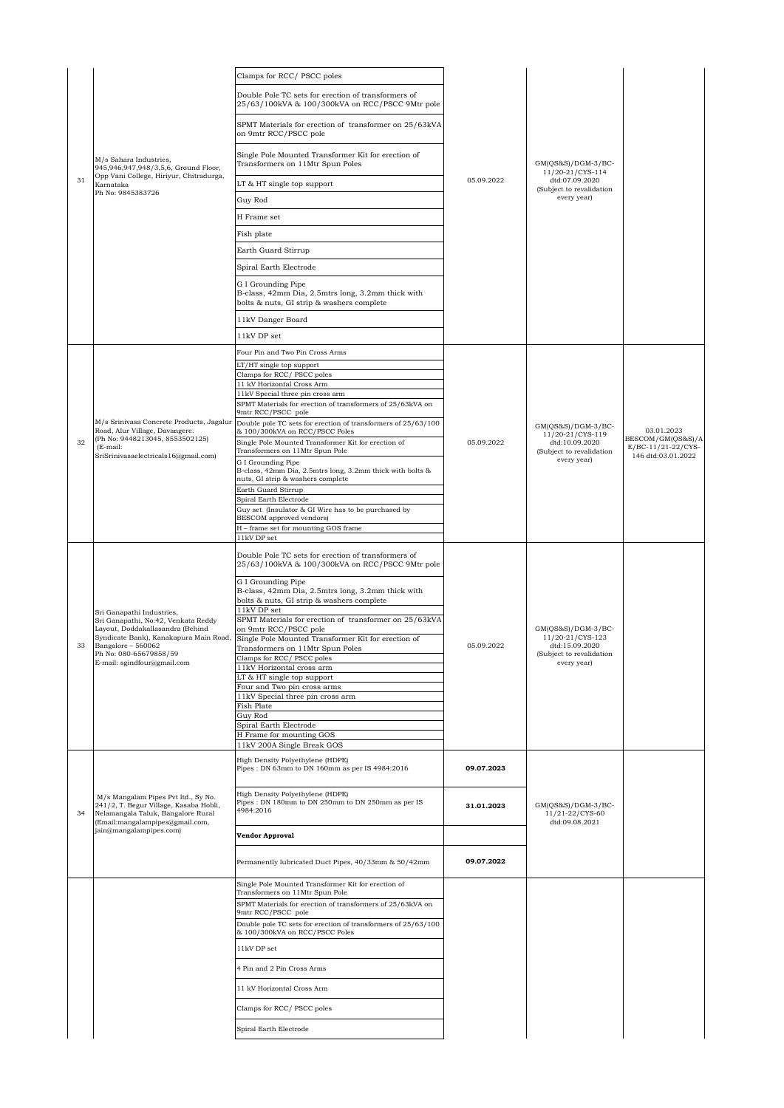|    |                                                                                                                                                        | Clamps for RCC/PSCC poles                                                                                            |            |                                                           |                                          |
|----|--------------------------------------------------------------------------------------------------------------------------------------------------------|----------------------------------------------------------------------------------------------------------------------|------------|-----------------------------------------------------------|------------------------------------------|
|    |                                                                                                                                                        | Double Pole TC sets for erection of transformers of<br>25/63/100kVA & 100/300kVA on RCC/PSCC 9Mtr pole               |            |                                                           |                                          |
|    | M/s Sahara Industries,<br>945,946,947,948/3,5,6, Ground Floor,                                                                                         | SPMT Materials for erection of transformer on 25/63kVA<br>on 9mtr RCC/PSCC pole                                      |            | $GM(QS&S)/DGM-3/BC-$<br>11/20-21/CYS-114                  |                                          |
|    |                                                                                                                                                        | Single Pole Mounted Transformer Kit for erection of<br>Transformers on 11Mtr Spun Poles                              |            |                                                           |                                          |
| 31 | Opp Vani College, Hiriyur, Chitradurga,<br>Karnataka                                                                                                   | LT & HT single top support                                                                                           | 05.09.2022 | dtd:07.09.2020<br>(Subject to revalidation                |                                          |
|    | Ph No: 9845383726                                                                                                                                      | Guy Rod                                                                                                              |            | every year)                                               |                                          |
|    |                                                                                                                                                        | H Frame set                                                                                                          |            |                                                           |                                          |
|    |                                                                                                                                                        | Fish plate                                                                                                           |            |                                                           |                                          |
|    |                                                                                                                                                        | Earth Guard Stirrup                                                                                                  |            |                                                           |                                          |
|    |                                                                                                                                                        | Spiral Earth Electrode                                                                                               |            |                                                           |                                          |
|    |                                                                                                                                                        | G I Grounding Pipe<br>B-class, 42mm Dia, 2.5mtrs long, 3.2mm thick with<br>bolts & nuts, GI strip & washers complete |            |                                                           |                                          |
|    |                                                                                                                                                        | 11kV Danger Board                                                                                                    |            |                                                           |                                          |
|    |                                                                                                                                                        | 11kV DP set                                                                                                          |            |                                                           |                                          |
|    |                                                                                                                                                        | Four Pin and Two Pin Cross Arms                                                                                      |            |                                                           |                                          |
|    |                                                                                                                                                        | LT/HT single top support<br>Clamps for RCC/ PSCC poles                                                               |            |                                                           |                                          |
|    |                                                                                                                                                        | 11 kV Horizontal Cross Arm                                                                                           |            |                                                           |                                          |
|    |                                                                                                                                                        | 11kV Special three pin cross arm<br>SPMT Materials for erection of transformers of 25/63kVA on                       |            |                                                           |                                          |
|    | M/s Srinivasa Concrete Products, Jagalur                                                                                                               | 9mtr RCC/PSCC pole<br>Double pole TC sets for erection of transformers of 25/63/100                                  |            |                                                           |                                          |
|    | Road, Alur Village, Davangere.<br>(Ph No: 9448213045, 8553502125)                                                                                      | & 100/300kVA on RCC/PSCC Poles                                                                                       |            | $GM(QS&S)/DGM-3/BC-$<br>11/20-21/CYS-119                  | 03.01.2023<br>BESCOM/GM(QS&S)/A          |
| 32 | (E-mail:<br>SriSrinivasaelectricals16@gmail.com)                                                                                                       | Single Pole Mounted Transformer Kit for erection of<br>Transformers on 11Mtr Spun Pole<br>G I Grounding Pipe         | 05.09.2022 | dtd:10.09.2020<br>(Subject to revalidation<br>every year) | E/BC-11/21-22/CYS-<br>146 dtd:03.01.2022 |
|    |                                                                                                                                                        | B-class, 42mm Dia, 2.5mtrs long, 3.2mm thick with bolts &<br>nuts, GI strip & washers complete                       |            |                                                           |                                          |
|    |                                                                                                                                                        | Earth Guard Stirrup<br>Spiral Earth Electrode                                                                        |            |                                                           |                                          |
|    |                                                                                                                                                        | Guy set (Insulator & GI Wire has to be purchased by                                                                  |            |                                                           |                                          |
|    |                                                                                                                                                        | BESCOM approved vendors)<br>H - frame set for mounting GOS frame                                                     |            |                                                           |                                          |
|    |                                                                                                                                                        | 11kV DP set                                                                                                          |            |                                                           |                                          |
|    |                                                                                                                                                        | Double Pole TC sets for erection of transformers of<br>25/63/100kVA & 100/300kVA on RCC/PSCC 9Mtr pole               |            |                                                           |                                          |
|    |                                                                                                                                                        | G I Grounding Pipe<br>B-class, 42mm Dia, 2.5mtrs long, 3.2mm thick with<br>bolts & nuts, GI strip & washers complete |            | $GM(QS&S)/DGM-3/BC-$                                      |                                          |
|    | Sri Ganapathi Industries,<br>Sri Ganapathi, No:42, Venkata Reddy<br>Layout, Doddakallasandra (Behind                                                   | 11kV DP set<br>SPMT Materials for erection of transformer on 25/63kVA<br>on 9mtr RCC/PSCC pole                       |            |                                                           |                                          |
| 33 | Syndicate Bank), Kanakapura Main Road,<br>Bangalore - 560062                                                                                           | Single Pole Mounted Transformer Kit for erection of<br>Transformers on 11Mtr Spun Poles                              | 05.09.2022 | 11/20-21/CYS-123<br>dtd:15.09.2020                        |                                          |
|    | Ph No: 080-65679858/59<br>E-mail: sgindfour@gmail.com                                                                                                  | Clamps for RCC/ PSCC poles                                                                                           |            | (Subject to revalidation<br>every year)                   |                                          |
|    |                                                                                                                                                        | 11kV Horizontal cross arm<br>LT & HT single top support                                                              |            |                                                           |                                          |
|    |                                                                                                                                                        | Four and Two pin cross arms<br>11kV Special three pin cross arm                                                      |            |                                                           |                                          |
|    |                                                                                                                                                        | Fish Plate<br>Guy Rod                                                                                                |            |                                                           |                                          |
|    |                                                                                                                                                        | Spiral Earth Electrode                                                                                               |            |                                                           |                                          |
|    |                                                                                                                                                        | H Frame for mounting GOS<br>11kV 200A Single Break GOS                                                               |            |                                                           |                                          |
|    |                                                                                                                                                        | High Density Polyethylene (HDPE)<br>Pipes: DN 63mm to DN 160mm as per IS 4984:2016                                   | 09.07.2023 |                                                           |                                          |
| 34 | M/s Mangalam Pipes Pvt ltd., Sy No.<br>241/2, T. Begur Village, Kasaba Hobli,<br>Nelamangala Taluk, Bangalore Rural<br>(Email:mangalampipes@gmail.com, | High Density Polyethylene (HDPE)<br>Pipes: DN 180mm to DN 250mm to DN 250mm as per IS<br>4984:2016                   | 31.01.2023 | $GM(QS&S)/DGM-3/BC-$<br>11/21-22/CYS-60<br>dtd:09.08.2021 |                                          |
|    | jain@mangalampipes.com)                                                                                                                                | Vendor Approval                                                                                                      |            |                                                           |                                          |
|    |                                                                                                                                                        | Permanently lubricated Duct Pipes, 40/33mm & 50/42mm                                                                 | 09.07.2022 |                                                           |                                          |
|    |                                                                                                                                                        | Single Pole Mounted Transformer Kit for erection of<br>Transformers on 11Mtr Spun Pole                               |            |                                                           |                                          |
|    |                                                                                                                                                        | SPMT Materials for erection of transformers of 25/63kVA on                                                           |            |                                                           |                                          |
|    |                                                                                                                                                        | 9mtr RCC/PSCC pole<br>Double pole TC sets for erection of transformers of 25/63/100                                  |            |                                                           |                                          |
|    |                                                                                                                                                        | & 100/300kVA on RCC/PSCC Poles                                                                                       |            |                                                           |                                          |
|    |                                                                                                                                                        | 11kV DP set                                                                                                          |            |                                                           |                                          |
|    |                                                                                                                                                        | 4 Pin and 2 Pin Cross Arms                                                                                           |            |                                                           |                                          |
|    |                                                                                                                                                        | 11 kV Horizontal Cross Arm                                                                                           |            |                                                           |                                          |
|    |                                                                                                                                                        | Clamps for RCC/ PSCC poles                                                                                           |            |                                                           |                                          |
|    |                                                                                                                                                        |                                                                                                                      |            |                                                           |                                          |
|    |                                                                                                                                                        | Spiral Earth Electrode                                                                                               |            |                                                           |                                          |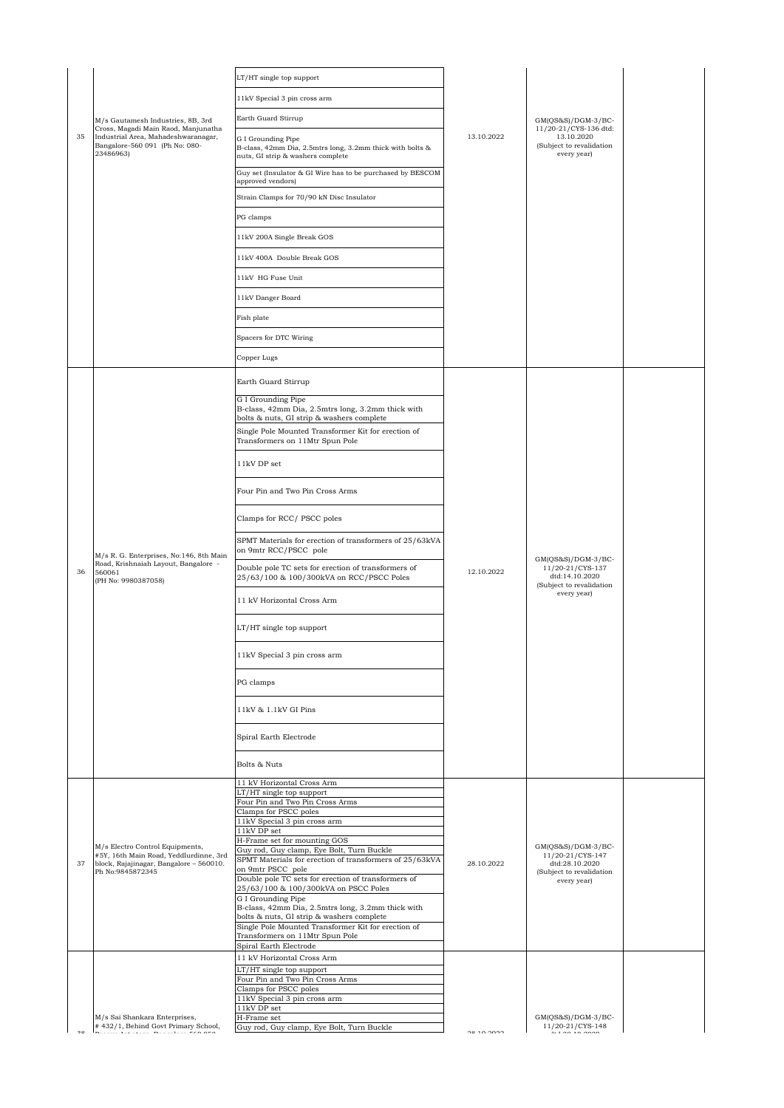|    |                                                                                                                           | LT/HT single top support                                                                                             |            |                                                                                |  |
|----|---------------------------------------------------------------------------------------------------------------------------|----------------------------------------------------------------------------------------------------------------------|------------|--------------------------------------------------------------------------------|--|
|    |                                                                                                                           | 11kV Special 3 pin cross arm                                                                                         |            |                                                                                |  |
|    | M/s Gautamesh Industries, 8B, 3rd                                                                                         | Earth Guard Stirrup                                                                                                  |            | $GM(QS&S)/DGM-3/BC-$                                                           |  |
| 35 | Cross, Magadi Main Raod, Manjunatha<br>Industrial Area, Mahadeshwaranagar,<br>Bangalore-560 091 (Ph No: 080-<br>23486963) | G I Grounding Pipe<br>B-class, 42mm Dia, 2.5mtrs long, 3.2mm thick with bolts &<br>nuts, GI strip & washers complete | 13.10.2022 | 11/20-21/CYS-136 dtd:<br>13.10.2020<br>(Subject to revalidation<br>every year) |  |
|    |                                                                                                                           | Guy set (Insulator & GI Wire has to be purchased by BESCOM<br>approved vendors)                                      |            |                                                                                |  |
|    |                                                                                                                           | Strain Clamps for 70/90 kN Disc Insulator                                                                            |            |                                                                                |  |
|    |                                                                                                                           | PG clamps                                                                                                            |            |                                                                                |  |
|    |                                                                                                                           | 11kV 200A Single Break GOS                                                                                           |            |                                                                                |  |
|    |                                                                                                                           | 11kV 400A Double Break GOS                                                                                           |            |                                                                                |  |
|    |                                                                                                                           | 11kV HG Fuse Unit                                                                                                    |            |                                                                                |  |
|    |                                                                                                                           | 11kV Danger Board                                                                                                    |            |                                                                                |  |
|    |                                                                                                                           | Fish plate                                                                                                           |            |                                                                                |  |
|    |                                                                                                                           | Spacers for DTC Wiring                                                                                               |            |                                                                                |  |
|    |                                                                                                                           | Copper Lugs                                                                                                          |            |                                                                                |  |
|    |                                                                                                                           | Earth Guard Stirrup                                                                                                  |            |                                                                                |  |
|    |                                                                                                                           | G I Grounding Pipe                                                                                                   |            |                                                                                |  |
|    |                                                                                                                           | B-class, 42mm Dia, 2.5mtrs long, 3.2mm thick with<br>bolts & nuts, GI strip & washers complete                       |            |                                                                                |  |
|    |                                                                                                                           | Single Pole Mounted Transformer Kit for erection of<br>Transformers on 11Mtr Spun Pole                               |            |                                                                                |  |
|    |                                                                                                                           | 11kV DP set                                                                                                          |            |                                                                                |  |
|    |                                                                                                                           | Four Pin and Two Pin Cross Arms                                                                                      |            |                                                                                |  |
|    |                                                                                                                           |                                                                                                                      |            |                                                                                |  |
|    |                                                                                                                           | Clamps for RCC/ PSCC poles<br>SPMT Materials for erection of transformers of 25/63kVA                                |            |                                                                                |  |
|    | M/s R. G. Enterprises, No:146, 8th Main<br>Road, Krishnaiah Layout, Bangalore -                                           | on 9mtr RCC/PSCC pole                                                                                                |            | $GM(QS&S)/DGM-3/BC-$                                                           |  |
| 36 | 560061<br>(PH No: 9980387058)                                                                                             | Double pole TC sets for erection of transformers of<br>25/63/100 & 100/300kVA on RCC/PSCC Poles                      | 12.10.2022 | 11/20-21/CYS-137<br>dtd:14.10.2020<br>(Subject to revalidation                 |  |
|    |                                                                                                                           | 11 kV Horizontal Cross Arm                                                                                           |            | every year)                                                                    |  |
|    |                                                                                                                           | LT/HT single top support                                                                                             |            |                                                                                |  |
|    |                                                                                                                           | 11kV Special 3 pin cross arm                                                                                         |            |                                                                                |  |
|    |                                                                                                                           | PG clamps                                                                                                            |            |                                                                                |  |
|    |                                                                                                                           | 11kV & 1.1kV GI Pins                                                                                                 |            |                                                                                |  |
|    |                                                                                                                           | Spiral Earth Electrode                                                                                               |            |                                                                                |  |
|    |                                                                                                                           | Bolts & Nuts                                                                                                         |            |                                                                                |  |
|    |                                                                                                                           | 11 kV Horizontal Cross Arm                                                                                           |            |                                                                                |  |
|    |                                                                                                                           | LT/HT single top support<br>Four Pin and Two Pin Cross Arms                                                          |            |                                                                                |  |
|    |                                                                                                                           | Clamps for PSCC poles                                                                                                |            |                                                                                |  |
|    |                                                                                                                           | 11kV Special 3 pin cross arm<br>11kV DP set                                                                          |            |                                                                                |  |
|    | M/s Electro Control Equipments,                                                                                           | H-Frame set for mounting GOS                                                                                         |            | $GM(QS&S)/DGM-3/BC-$                                                           |  |
| 37 | #5Y, 16th Main Road, Yeddlurdinne, 3rd<br>block, Rajajinagar, Bangalore - 560010.                                         | Guy rod, Guy clamp, Eye Bolt, Turn Buckle<br>SPMT Materials for erection of transformers of 25/63kVA                 | 28.10.2022 | 11/20-21/CYS-147<br>dtd:28.10.2020                                             |  |
|    | Ph No:9845872345                                                                                                          | on 9mtr PSCC pole<br>Double pole TC sets for erection of transformers of                                             |            | (Subject to revalidation<br>every year)                                        |  |
|    |                                                                                                                           | 25/63/100 & 100/300kVA on PSCC Poles                                                                                 |            |                                                                                |  |
|    |                                                                                                                           | G I Grounding Pipe<br>B-class, 42mm Dia, 2.5mtrs long, 3.2mm thick with                                              |            |                                                                                |  |
|    |                                                                                                                           | bolts & nuts, GI strip & washers complete<br>Single Pole Mounted Transformer Kit for erection of                     |            |                                                                                |  |
|    |                                                                                                                           | Transformers on 11Mtr Spun Pole<br>Spiral Earth Electrode                                                            |            |                                                                                |  |
|    |                                                                                                                           | 11 kV Horizontal Cross Arm                                                                                           |            |                                                                                |  |
|    |                                                                                                                           | LT/HT single top support<br>Four Pin and Two Pin Cross Arms                                                          |            |                                                                                |  |
|    |                                                                                                                           | Clamps for PSCC poles                                                                                                |            |                                                                                |  |
|    |                                                                                                                           | 11kV Special 3 pin cross arm<br>11kV DP set                                                                          |            |                                                                                |  |
|    | M/s Sai Shankara Enterprises,<br>#432/1, Behind Govt Primary School,                                                      | H-Frame set                                                                                                          |            | GM(QS&S)/DGM-3/BC-<br>11/20-21/CYS-148                                         |  |
|    | a alu nuulu fee ere                                                                                                       | Guy rod, Guy clamp, Eye Bolt, Turn Buckle                                                                            | 0010000    | $\ldots$                                                                       |  |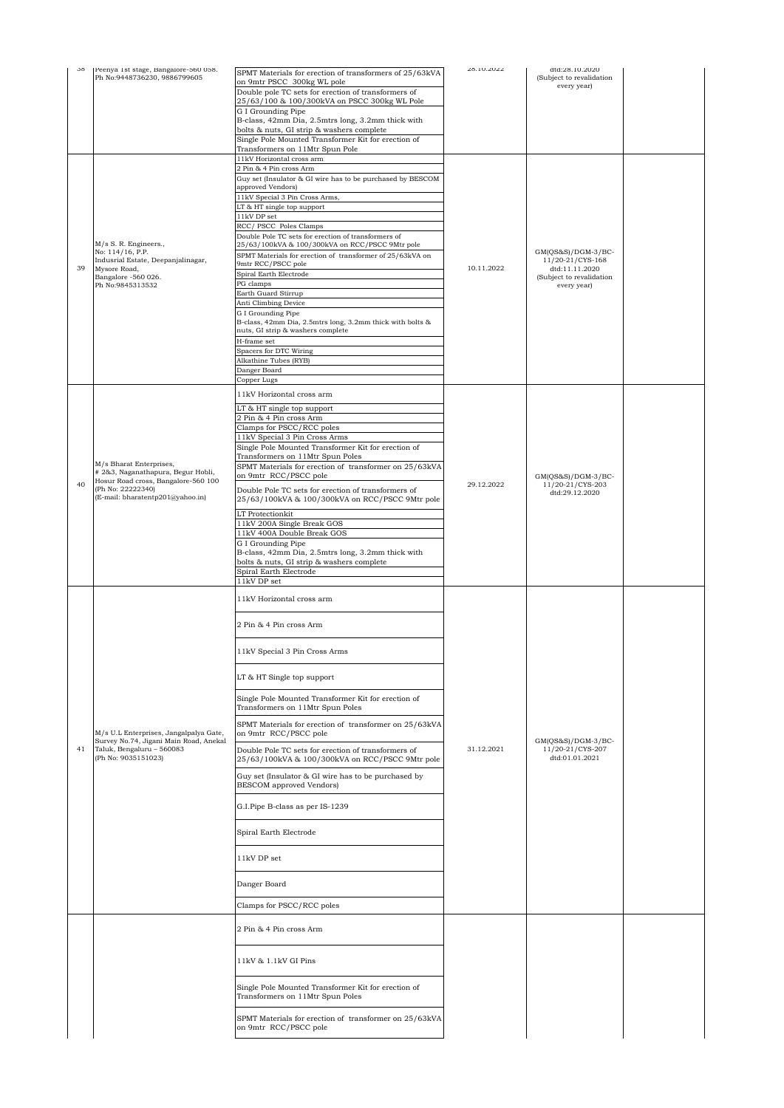| 38 | Peenya 1st stage, Bangalore-560 058.<br>Ph No:9448736230, 9886799605                                                               | SPMT Materials for erection of transformers of 25/63kVA                                                | 28.10.2022 | dtd:28.10.2020<br>(Subject to revalidation |  |
|----|------------------------------------------------------------------------------------------------------------------------------------|--------------------------------------------------------------------------------------------------------|------------|--------------------------------------------|--|
|    |                                                                                                                                    | on 9mtr PSCC 300kg WL pole                                                                             |            | every year)                                |  |
|    |                                                                                                                                    | Double pole TC sets for erection of transformers of<br>25/63/100 & 100/300kVA on PSCC 300kg WL Pole    |            |                                            |  |
|    |                                                                                                                                    | G I Grounding Pipe                                                                                     |            |                                            |  |
|    |                                                                                                                                    | B-class, 42mm Dia, 2.5mtrs long, 3.2mm thick with<br>bolts & nuts, GI strip & washers complete         |            |                                            |  |
|    |                                                                                                                                    | Single Pole Mounted Transformer Kit for erection of                                                    |            |                                            |  |
|    |                                                                                                                                    | Transformers on 11Mtr Spun Pole                                                                        |            |                                            |  |
|    |                                                                                                                                    | 11kV Horizontal cross arm<br>2 Pin & 4 Pin cross Arm                                                   |            |                                            |  |
|    |                                                                                                                                    | Guy set (Insulator & GI wire has to be purchased by BESCOM                                             |            |                                            |  |
|    |                                                                                                                                    | approved Vendors)                                                                                      |            |                                            |  |
|    |                                                                                                                                    | 11kV Special 3 Pin Cross Arms,                                                                         |            |                                            |  |
|    |                                                                                                                                    | LT & HT single top support<br>$11\mathrm{kV}$ DP set                                                   |            |                                            |  |
|    |                                                                                                                                    | RCC/ PSCC Poles Clamps                                                                                 |            |                                            |  |
|    | M/s S. R. Engineers.,                                                                                                              | Double Pole TC sets for erection of transformers of<br>25/63/100kVA & 100/300kVA on RCC/PSCC 9Mtr pole |            |                                            |  |
|    | No: 114/16, P.P.                                                                                                                   | SPMT Materials for erection of transformer of 25/63kVA on                                              |            | $GM(QS&S)/DGM-3/BC-$                       |  |
| 39 | Indusrial Estate, Deepanjalinagar,<br>Mysore Road,                                                                                 | 9mtr RCC/PSCC pole                                                                                     | 10.11.2022 | 11/20-21/CYS-168<br>dtd:11.11.2020         |  |
|    | Bangalore -560 026.<br>Ph No:9845313532                                                                                            | Spiral Earth Electrode<br>PG clamps                                                                    |            | (Subject to revalidation                   |  |
|    |                                                                                                                                    | Earth Guard Stirrup                                                                                    |            | every year)                                |  |
|    |                                                                                                                                    | Anti Climbing Device                                                                                   |            |                                            |  |
|    |                                                                                                                                    | G I Grounding Pipe<br>B-class, 42mm Dia, 2.5mtrs long, 3.2mm thick with bolts &                        |            |                                            |  |
|    |                                                                                                                                    | nuts, GI strip & washers complete                                                                      |            |                                            |  |
|    |                                                                                                                                    | $\operatorname{H-frame}$ set                                                                           |            |                                            |  |
|    |                                                                                                                                    | Spacers for DTC Wiring<br>Alkathine Tubes (RYB)                                                        |            |                                            |  |
|    |                                                                                                                                    | Danger Board                                                                                           |            |                                            |  |
|    |                                                                                                                                    | Copper Lugs                                                                                            |            |                                            |  |
|    |                                                                                                                                    | 11kV Horizontal cross arm                                                                              |            |                                            |  |
|    |                                                                                                                                    | LT & HT single top support                                                                             |            |                                            |  |
|    |                                                                                                                                    | 2 Pin & 4 Pin cross Arm<br>Clamps for PSCC/RCC poles                                                   |            |                                            |  |
|    |                                                                                                                                    | 11kV Special 3 Pin Cross Arms                                                                          |            |                                            |  |
|    |                                                                                                                                    | Single Pole Mounted Transformer Kit for erection of                                                    |            |                                            |  |
|    | M/s Bharat Enterprises,                                                                                                            | Transformers on 11Mtr Spun Poles<br>SPMT Materials for erection of transformer on 25/63kVA             |            |                                            |  |
|    | # 2&3, Naganathapura, Begur Hobli,<br>Hosur Road cross, Bangalore-560 100<br>(Ph No: 22222340)<br>(E-mail: bharatentp201@yahoo.in) | on 9mtr RCC/PSCC pole                                                                                  |            | $GM(QS&S)/DGM-3/BC-$                       |  |
| 40 |                                                                                                                                    | Double Pole TC sets for erection of transformers of                                                    | 29.12.2022 | 11/20-21/CYS-203<br>dtd:29.12.2020         |  |
|    |                                                                                                                                    | 25/63/100kVA & 100/300kVA on RCC/PSCC 9Mtr pole                                                        |            |                                            |  |
|    |                                                                                                                                    | LT Protectionkit                                                                                       |            |                                            |  |
|    |                                                                                                                                    | 11kV 200A Single Break GOS<br>11kV 400A Double Break GOS                                               |            |                                            |  |
|    |                                                                                                                                    | G I Grounding Pipe                                                                                     |            |                                            |  |
|    |                                                                                                                                    | B-class, 42mm Dia, 2.5mtrs long, 3.2mm thick with                                                      |            |                                            |  |
|    |                                                                                                                                    | bolts & nuts, GI strip & washers complete<br>Spiral Earth Electrode                                    |            |                                            |  |
|    |                                                                                                                                    | 11kV DP set                                                                                            |            |                                            |  |
|    |                                                                                                                                    | 11kV Horizontal cross arm                                                                              |            |                                            |  |
|    |                                                                                                                                    |                                                                                                        |            |                                            |  |
|    |                                                                                                                                    | 2 Pin & 4 Pin cross Arm                                                                                |            |                                            |  |
|    |                                                                                                                                    |                                                                                                        |            |                                            |  |
|    |                                                                                                                                    | 11kV Special 3 Pin Cross Arms                                                                          |            |                                            |  |
|    |                                                                                                                                    |                                                                                                        |            |                                            |  |
|    |                                                                                                                                    | LT & HT Single top support                                                                             |            |                                            |  |
|    |                                                                                                                                    |                                                                                                        |            |                                            |  |
|    |                                                                                                                                    | Single Pole Mounted Transformer Kit for erection of<br>Transformers on 11Mtr Spun Poles                |            |                                            |  |
|    |                                                                                                                                    |                                                                                                        |            |                                            |  |
|    | M/s U.L Enterprises, Jangalpalya Gate,                                                                                             | SPMT Materials for erection of transformer on 25/63kVA<br>on 9mtr RCC/PSCC pole                        |            |                                            |  |
| 41 | Survey No.74, Jigani Main Road, Anekal<br>Taluk, Bengaluru - 560083                                                                | Double Pole TC sets for erection of transformers of                                                    | 31.12.2021 | $GM(QS&S)/DGM-3/BC-$<br>11/20-21/CYS-207   |  |
|    | (Ph No: 9035151023)                                                                                                                | 25/63/100kVA & 100/300kVA on RCC/PSCC 9Mtr pole                                                        |            | dtd:01.01.2021                             |  |
|    |                                                                                                                                    | Guy set (Insulator & GI wire has to be purchased by                                                    |            |                                            |  |
|    |                                                                                                                                    | BESCOM approved Vendors)                                                                               |            |                                            |  |
|    |                                                                                                                                    | G.I.Pipe B-class as per IS-1239                                                                        |            |                                            |  |
|    |                                                                                                                                    |                                                                                                        |            |                                            |  |
|    |                                                                                                                                    | Spiral Earth Electrode                                                                                 |            |                                            |  |
|    |                                                                                                                                    |                                                                                                        |            |                                            |  |
|    |                                                                                                                                    | 11kV DP set                                                                                            |            |                                            |  |
|    |                                                                                                                                    |                                                                                                        |            |                                            |  |
|    |                                                                                                                                    | Danger Board                                                                                           |            |                                            |  |
|    |                                                                                                                                    |                                                                                                        |            |                                            |  |
|    |                                                                                                                                    | Clamps for PSCC/RCC poles                                                                              |            |                                            |  |
|    |                                                                                                                                    | 2 Pin & 4 Pin cross Arm                                                                                |            |                                            |  |
|    |                                                                                                                                    |                                                                                                        |            |                                            |  |
|    |                                                                                                                                    |                                                                                                        |            |                                            |  |
|    |                                                                                                                                    | 11kV & 1.1kV GI Pins                                                                                   |            |                                            |  |
|    |                                                                                                                                    |                                                                                                        |            |                                            |  |
|    |                                                                                                                                    | Single Pole Mounted Transformer Kit for erection of<br>Transformers on 11Mtr Spun Poles                |            |                                            |  |
|    |                                                                                                                                    |                                                                                                        |            |                                            |  |
|    |                                                                                                                                    | SPMT Materials for erection of transformer on 25/63kVA                                                 |            |                                            |  |
|    |                                                                                                                                    | on 9mtr RCC/PSCC pole                                                                                  |            |                                            |  |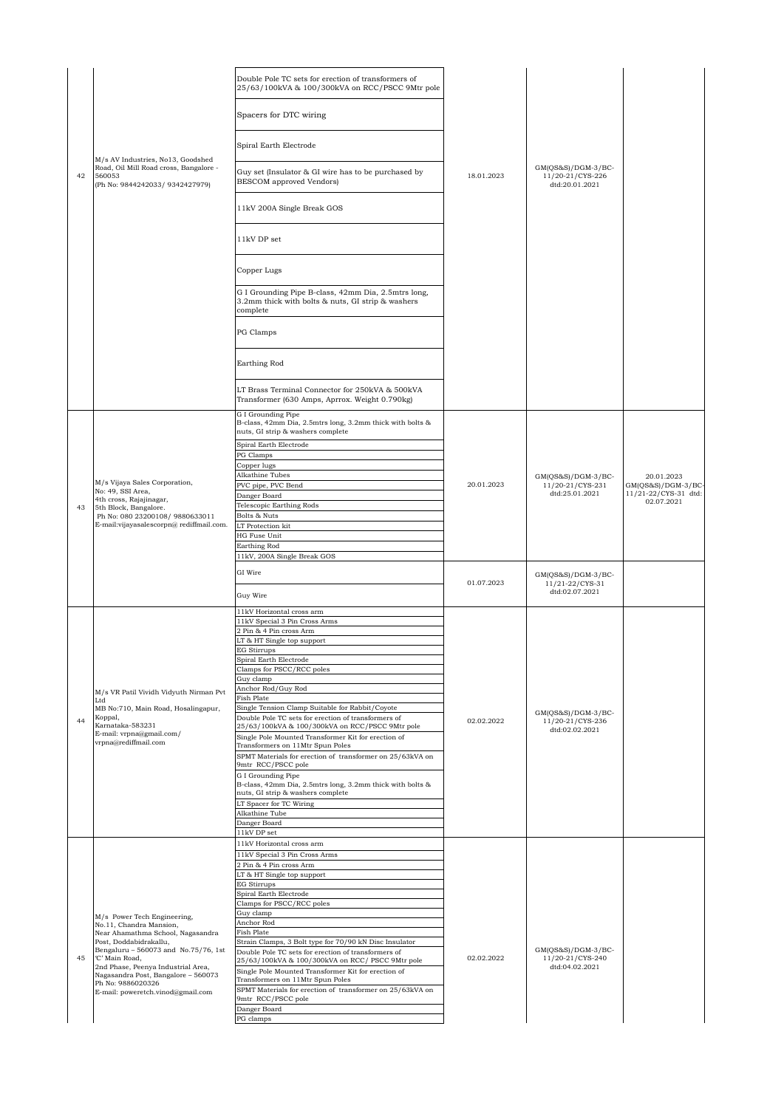|    |                                                                                     | Double Pole TC sets for erection of transformers of<br>25/63/100kVA & 100/300kVA on RCC/PSCC 9Mtr pole               |            |                                                            |                                             |
|----|-------------------------------------------------------------------------------------|----------------------------------------------------------------------------------------------------------------------|------------|------------------------------------------------------------|---------------------------------------------|
|    |                                                                                     | Spacers for DTC wiring                                                                                               |            |                                                            |                                             |
|    | M/s AV Industries, No13, Goodshed                                                   | Spiral Earth Electrode                                                                                               |            |                                                            |                                             |
| 42 | Road, Oil Mill Road cross, Bangalore -<br>560053<br>(Ph No: 9844242033/ 9342427979) | Guy set (Insulator & GI wire has to be purchased by<br><b>BESCOM</b> approved Vendors)                               | 18.01.2023 | $GM(QS&S)/DGM-3/BC-$<br>11/20-21/CYS-226<br>dtd:20.01.2021 |                                             |
|    |                                                                                     | 11kV 200A Single Break GOS                                                                                           |            |                                                            |                                             |
|    |                                                                                     | 11kV DP set                                                                                                          |            |                                                            |                                             |
|    |                                                                                     | Copper Lugs                                                                                                          |            |                                                            |                                             |
|    |                                                                                     | G I Grounding Pipe B-class, 42mm Dia, 2.5mtrs long,<br>3.2mm thick with bolts & nuts, GI strip & washers<br>complete |            |                                                            |                                             |
|    |                                                                                     | PG Clamps                                                                                                            |            |                                                            |                                             |
|    |                                                                                     | Earthing Rod                                                                                                         |            |                                                            |                                             |
|    |                                                                                     | LT Brass Terminal Connector for 250kVA & 500kVA<br>Transformer (630 Amps, Aprrox. Weight 0.790kg)                    |            |                                                            |                                             |
|    |                                                                                     | G I Grounding Pipe<br>B-class, 42mm Dia, 2.5mtrs long, 3.2mm thick with bolts &<br>nuts, GI strip & washers complete |            |                                                            |                                             |
|    |                                                                                     | Spiral Earth Electrode                                                                                               |            |                                                            |                                             |
|    |                                                                                     | PG Clamps<br>Copper lugs                                                                                             |            |                                                            |                                             |
|    | M/s Vijaya Sales Corporation,                                                       | Alkathine Tubes                                                                                                      |            | $GM(QS&S)/DGM-3/BC-$                                       | 20.01.2023                                  |
|    | No: 49, SSI Area,<br>4th cross, Rajajinagar,<br>5th Block, Bangalore.               | PVC pipe, PVC Bend<br>Danger Board                                                                                   | 20.01.2023 | 11/20-21/CYS-231<br>dtd:25.01.2021                         | $GM(QS&S)/DGM-3/BC$<br>11/21-22/CYS-31 dtd: |
| 43 |                                                                                     | Telescopic Earthing Rods                                                                                             |            |                                                            | 02.07.2021                                  |
|    | Ph No: 080 23200108/ 9880633011<br>E-mail:vijayasalescorpn@rediffmail.com.          | Bolts & Nuts<br>LT Protection kit                                                                                    |            |                                                            |                                             |
|    |                                                                                     | <b>HG Fuse Unit</b>                                                                                                  |            |                                                            |                                             |
|    |                                                                                     | Earthing Rod                                                                                                         |            |                                                            |                                             |
|    |                                                                                     | 11kV, 200A Single Break GOS                                                                                          |            |                                                            |                                             |
|    |                                                                                     | GI Wire                                                                                                              | 01.07.2023 | $GM(QS&S)/DGM-3/BC-$<br>11/21-22/CYS-31                    |                                             |
|    |                                                                                     | Guy Wire                                                                                                             |            | dtd:02.07.2021                                             |                                             |
|    |                                                                                     | 11kV Horizontal cross arm                                                                                            |            |                                                            |                                             |
|    |                                                                                     | 11kV Special 3 Pin Cross Arms                                                                                        |            |                                                            |                                             |
|    |                                                                                     | 2 Pin & 4 Pin cross Arm<br>LT & HT Single top support                                                                |            |                                                            |                                             |
|    |                                                                                     | EG Stirrups                                                                                                          |            |                                                            |                                             |
|    |                                                                                     | Spiral Earth Electrode<br>Clamps for PSCC/RCC poles                                                                  |            |                                                            |                                             |
|    |                                                                                     | Guy clamp                                                                                                            |            |                                                            |                                             |
|    | M/s VR Patil Vividh Vidyuth Nirman Pvt<br>Ltd                                       | Anchor Rod/Guy Rod<br>Fish Plate                                                                                     |            |                                                            |                                             |
|    | MB No:710, Main Road, Hosalingapur,                                                 | Single Tension Clamp Suitable for Rabbit/Coyote                                                                      |            | $GM(QS&S)/DGM-3/BC-$                                       |                                             |
| 44 | Koppal,<br>Karnataka-583231                                                         | Double Pole TC sets for erection of transformers of<br>25/63/100kVA & 100/300kVA on RCC/PSCC 9Mtr pole               | 02.02.2022 | 11/20-21/CYS-236<br>dtd:02.02.2021                         |                                             |
|    | E-mail: vrpna@gmail.com/<br>vrpna@rediffmail.com                                    | Single Pole Mounted Transformer Kit for erection of<br>Transformers on 11Mtr Spun Poles                              |            |                                                            |                                             |
|    |                                                                                     | SPMT Materials for erection of transformer on 25/63kVA on                                                            |            |                                                            |                                             |
|    |                                                                                     | 9mtr RCC/PSCC pole<br>G I Grounding Pipe                                                                             |            |                                                            |                                             |
|    |                                                                                     | B-class, 42mm Dia, 2.5mtrs long, 3.2mm thick with bolts &                                                            |            |                                                            |                                             |
|    |                                                                                     | nuts, GI strip & washers complete<br>LT Spacer for TC Wiring                                                         |            |                                                            |                                             |
|    |                                                                                     | Alkathine Tube                                                                                                       |            |                                                            |                                             |
|    |                                                                                     | Danger Board<br>11kV DP set                                                                                          |            |                                                            |                                             |
|    |                                                                                     | 11kV Horizontal cross arm                                                                                            |            |                                                            |                                             |
|    |                                                                                     | 11kV Special 3 Pin Cross Arms<br>2 Pin & 4 Pin cross Arm                                                             |            |                                                            |                                             |
|    |                                                                                     | LT & HT Single top support                                                                                           |            |                                                            |                                             |
|    |                                                                                     | <b>EG Stirrups</b><br>Spiral Earth Electrode                                                                         |            |                                                            |                                             |
|    |                                                                                     | Clamps for PSCC/RCC poles                                                                                            |            |                                                            |                                             |
|    | M/s Power Tech Engineering,                                                         | Guy clamp<br>Anchor Rod                                                                                              |            |                                                            |                                             |
|    | No.11, Chandra Mansion,<br>Near Ahamathma School, Nagasandra                        | <b>Fish Plate</b>                                                                                                    |            |                                                            |                                             |
|    | Post, Doddabidrakallu,<br>Bengaluru - 560073 and No.75/76, 1st                      | Strain Clamps, 3 Bolt type for 70/90 kN Disc Insulator                                                               |            | $GM(QS&S)/DGM-3/BC-$                                       |                                             |
| 45 | 'C' Main Road,                                                                      | Double Pole TC sets for erection of transformers of<br>25/63/100kVA & 100/300kVA on RCC/ PSCC 9Mtr pole              | 02.02.2022 | 11/20-21/CYS-240                                           |                                             |
|    | 2nd Phase, Peenya Industrial Area,<br>Nagasandra Post, Bangalore - 560073           | Single Pole Mounted Transformer Kit for erection of                                                                  |            | dtd:04.02.2021                                             |                                             |
|    | Ph No: 9886020326<br>E-mail: poweretch.vinod@gmail.com                              | Transformers on 11Mtr Spun Poles<br>SPMT Materials for erection of transformer on 25/63kVA on                        |            |                                                            |                                             |
|    |                                                                                     | 9mtr RCC/PSCC pole                                                                                                   |            |                                                            |                                             |
|    |                                                                                     | Danger Board<br>PG clamps                                                                                            |            |                                                            |                                             |
|    |                                                                                     |                                                                                                                      |            |                                                            |                                             |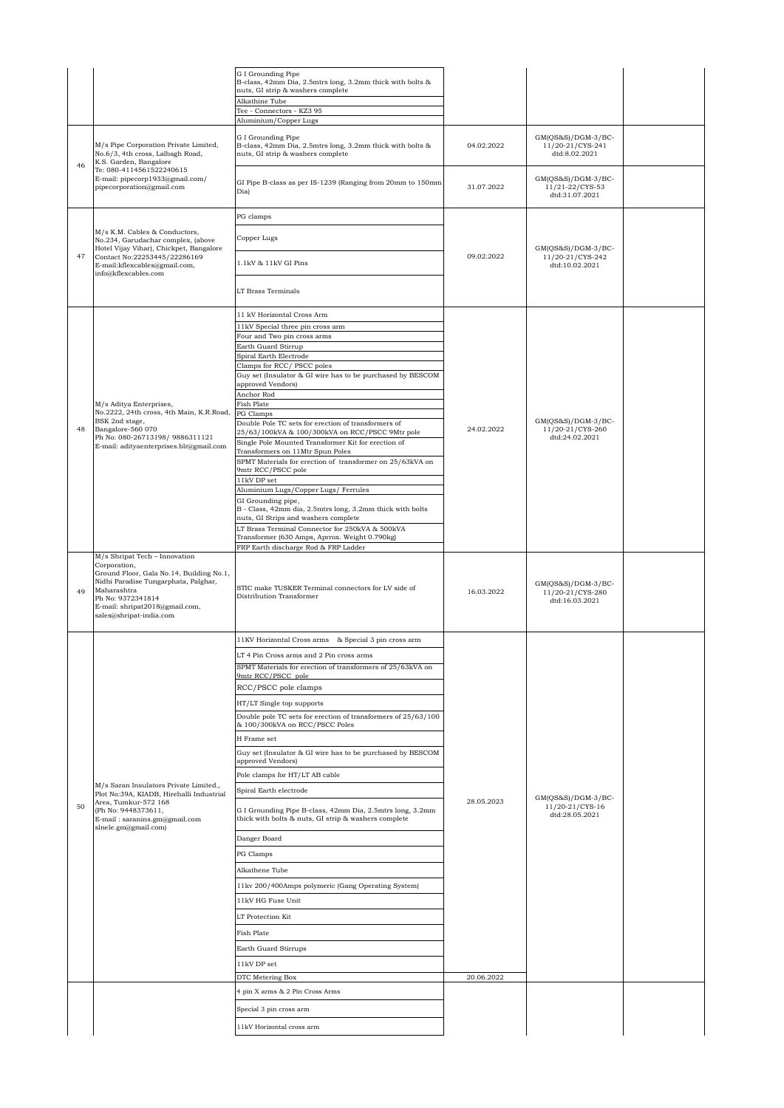|    |                                                                                                                                                                                                                                    | G I Grounding Pipe<br>B-class, 42mm Dia, 2.5mtrs long, 3.2mm thick with bolts &<br>nuts, GI strip & washers complete<br>Alkathine Tube<br>Tee - Connectors - KZ3 95 |            |                                                            |  |
|----|------------------------------------------------------------------------------------------------------------------------------------------------------------------------------------------------------------------------------------|---------------------------------------------------------------------------------------------------------------------------------------------------------------------|------------|------------------------------------------------------------|--|
|    |                                                                                                                                                                                                                                    | Aluminium/Copper Lugs                                                                                                                                               |            |                                                            |  |
| 46 | M/s Pipe Corporation Private Limited,<br>No.6/3, 4th cross, Lalbagh Road,<br>K.S. Garden, Bangalore                                                                                                                                | G I Grounding Pipe<br>B-class, 42mm Dia, 2.5mtrs long, 3.2mm thick with bolts &<br>nuts, GI strip & washers complete                                                | 04.02.2022 | GM(QS&S)/DGM-3/BC-<br>11/20-21/CYS-241<br>dtd:8.02.2021    |  |
|    | Te: 080-4114561522240615<br>E-mail: pipecorp1933@gmail.com/<br>pipecorporation@gmail.com                                                                                                                                           | GI Pipe B-class as per IS-1239 (Ranging from 20mm to 150mm<br>Dia)                                                                                                  | 31.07.2022 | $GM(QS&S)/DGM-3/BC-$<br>11/21-22/CYS-53<br>dtd:31.07.2021  |  |
|    |                                                                                                                                                                                                                                    | PG clamps                                                                                                                                                           |            |                                                            |  |
|    | M/s K.M. Cables & Conductors,<br>No.234, Garudachar complex, (above<br>Hotel Vijay Vihar), Chickpet, Bangalore                                                                                                                     | Copper Lugs                                                                                                                                                         |            | $GM(QS&S)/DGM-3/BC-$                                       |  |
| 47 | Contact No:22253445/22286169<br>E-mail:kflexcables@gmail.com,<br>info@kflexcables.com                                                                                                                                              | 1.1kV & 11kV GI Pins                                                                                                                                                | 09.02.2022 | 11/20-21/CYS-242<br>dtd:10.02.2021                         |  |
|    |                                                                                                                                                                                                                                    | LT Brass Terminals                                                                                                                                                  |            |                                                            |  |
|    |                                                                                                                                                                                                                                    | 11 kV Horizontal Cross Arm                                                                                                                                          |            |                                                            |  |
|    |                                                                                                                                                                                                                                    | 11kV Special three pin cross arm<br>Four and Two pin cross arms                                                                                                     |            |                                                            |  |
|    |                                                                                                                                                                                                                                    | Earth Guard Stirrup                                                                                                                                                 |            |                                                            |  |
|    |                                                                                                                                                                                                                                    | Spiral Earth Electrode<br>Clamps for RCC/ PSCC poles                                                                                                                |            |                                                            |  |
|    |                                                                                                                                                                                                                                    | Guy set (Insulator & GI wire has to be purchased by BESCOM<br>approved Vendors)<br>Anchor Rod                                                                       |            |                                                            |  |
|    | M/s Aditya Enterprises,                                                                                                                                                                                                            | Fish Plate                                                                                                                                                          |            |                                                            |  |
|    | No.2222, 24th cross, 4th Main, K.R.Road,<br>BSK 2nd stage,                                                                                                                                                                         | PG Clamps<br>Double Pole TC sets for erection of transformers of                                                                                                    |            | $GM(QS&S)/DGM-3/BC-$                                       |  |
| 48 | Bangalore-560 070<br>Ph No: 080-26713198/9886311121                                                                                                                                                                                | 25/63/100kVA & 100/300kVA on RCC/PSCC 9Mtr pole                                                                                                                     | 24.02.2022 | 11/20-21/CYS-260<br>dtd:24.02.2021                         |  |
|    | E-mail: adityaenterprises.blr@gmail.com                                                                                                                                                                                            | Single Pole Mounted Transformer Kit for erection of<br>Transformers on 11Mtr Spun Poles                                                                             |            |                                                            |  |
|    |                                                                                                                                                                                                                                    | SPMT Materials for erection of transformer on 25/63kVA on                                                                                                           |            |                                                            |  |
|    |                                                                                                                                                                                                                                    | 9mtr RCC/PSCC pole                                                                                                                                                  |            |                                                            |  |
|    |                                                                                                                                                                                                                                    | 11kV DP set<br>Aluminium Lugs/Copper Lugs/ Ferrules                                                                                                                 |            |                                                            |  |
|    |                                                                                                                                                                                                                                    | GI Grounding pipe,                                                                                                                                                  |            |                                                            |  |
|    |                                                                                                                                                                                                                                    | B - Class, 42mm dia, 2.5mtrs long, 3.2mm thick with bolts<br>nuts, GI Strips and washers complete                                                                   |            |                                                            |  |
|    |                                                                                                                                                                                                                                    | LT Brass Terminal Connector for 250kVA & 500kVA                                                                                                                     |            |                                                            |  |
|    |                                                                                                                                                                                                                                    | Transformer (630 Amps, Aprrox. Weight 0.790kg)<br>FRP Earth discharge Rod & FRP Ladder                                                                              |            |                                                            |  |
| 49 | M/s Shripat Tech - Innovation<br>Corporation,<br>Ground Floor, Gala No.14, Building No.1,<br>Nidhi Paradise Tungarphata, Palghar,<br>Maharashtra<br>Ph No: 9372341814<br>E-mail: shripat2018@gmail.com,<br>sales@shripat-india.com | STIC make TUSKER Terminal connectors for LV side of<br>Distribution Transformer                                                                                     | 16.03.2022 | $GM(QS&S)/DGM-3/BC-$<br>11/20-21/CYS-280<br>dtd:16.03.2021 |  |
|    |                                                                                                                                                                                                                                    | 11KV Horizontal Cross arms & Special 3 pin cross arm                                                                                                                |            |                                                            |  |
|    |                                                                                                                                                                                                                                    | LT 4 Pin Cross arms and 2 Pin cross arms                                                                                                                            |            |                                                            |  |
|    |                                                                                                                                                                                                                                    | SPMT Materials for erection of transformers of 25/63kVA on                                                                                                          |            |                                                            |  |
|    |                                                                                                                                                                                                                                    | 9mtr RCC/PSCC pole<br>RCC/PSCC pole clamps                                                                                                                          |            |                                                            |  |
|    |                                                                                                                                                                                                                                    |                                                                                                                                                                     |            |                                                            |  |
|    |                                                                                                                                                                                                                                    | HT/LT Single top supports                                                                                                                                           |            |                                                            |  |
|    |                                                                                                                                                                                                                                    | Double pole TC sets for erection of transformers of 25/63/100<br>& 100/300kVA on RCC/PSCC Poles                                                                     |            |                                                            |  |
|    |                                                                                                                                                                                                                                    | H Frame set                                                                                                                                                         |            |                                                            |  |
|    |                                                                                                                                                                                                                                    | Guy set (Insulator & GI wire has to be purchased by BESCOM                                                                                                          |            |                                                            |  |
|    |                                                                                                                                                                                                                                    | approved Vendors)                                                                                                                                                   |            |                                                            |  |
|    | M/s Saran Insulators Private Limited.,                                                                                                                                                                                             | Pole clamps for HT/LT AB cable                                                                                                                                      |            |                                                            |  |
|    | Plot No:39A, KIADB, Hirehalli Industrial<br>Area, Tumkur-572 168                                                                                                                                                                   | Spiral Earth electrode                                                                                                                                              | 28.05.2023 | GM(QS&S)/DGM-3/BC-                                         |  |
| 50 | (Ph No: 9448373611,<br>E-mail: saranins.gm@gmail.com<br>slnele.gm@gmail.com)                                                                                                                                                       | G I Grounding Pipe B-class, 42mm Dia, 2.5mtrs long, 3.2mm<br>thick with bolts & nuts, GI strip & washers complete                                                   |            | 11/20-21/CYS-16<br>dtd:28.05.2021                          |  |
|    |                                                                                                                                                                                                                                    | Danger Board                                                                                                                                                        |            |                                                            |  |
|    |                                                                                                                                                                                                                                    | PG Clamps                                                                                                                                                           |            |                                                            |  |
|    |                                                                                                                                                                                                                                    | Alkathene Tube                                                                                                                                                      |            |                                                            |  |
|    |                                                                                                                                                                                                                                    | 11kv 200/400Amps polymeric (Gang Operating System)                                                                                                                  |            |                                                            |  |
|    |                                                                                                                                                                                                                                    | 11kV HG Fuse Unit                                                                                                                                                   |            |                                                            |  |
|    |                                                                                                                                                                                                                                    | LT Protection Kit                                                                                                                                                   |            |                                                            |  |
|    |                                                                                                                                                                                                                                    |                                                                                                                                                                     |            |                                                            |  |
|    |                                                                                                                                                                                                                                    | Fish Plate                                                                                                                                                          |            |                                                            |  |
|    |                                                                                                                                                                                                                                    | Earth Guard Stirrups                                                                                                                                                |            |                                                            |  |
|    |                                                                                                                                                                                                                                    | 11kV DP set                                                                                                                                                         |            |                                                            |  |
|    |                                                                                                                                                                                                                                    | DTC Metering Box                                                                                                                                                    | 20.06.2022 |                                                            |  |
|    |                                                                                                                                                                                                                                    | 4 pin X arms & 2 Pin Cross Arms                                                                                                                                     |            |                                                            |  |
|    |                                                                                                                                                                                                                                    | Special 3 pin cross arm                                                                                                                                             |            |                                                            |  |
|    |                                                                                                                                                                                                                                    | 11kV Horizontal cross arm                                                                                                                                           |            |                                                            |  |
|    |                                                                                                                                                                                                                                    |                                                                                                                                                                     |            |                                                            |  |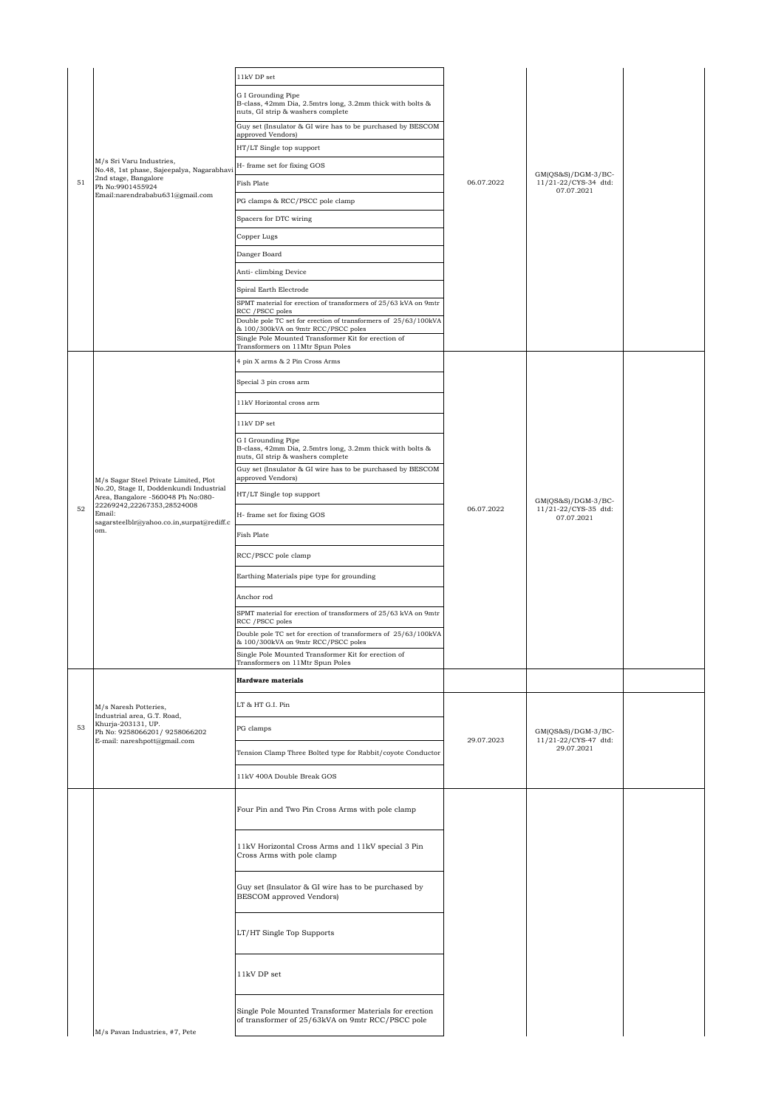|    |                                                                                                                        | 11kV DP set                                                                                                          |            |                                                          |  |
|----|------------------------------------------------------------------------------------------------------------------------|----------------------------------------------------------------------------------------------------------------------|------------|----------------------------------------------------------|--|
|    |                                                                                                                        | G I Grounding Pipe<br>B-class, 42mm Dia, 2.5mtrs long, 3.2mm thick with bolts &<br>nuts, GI strip & washers complete |            |                                                          |  |
|    |                                                                                                                        | Guy set (Insulator & GI wire has to be purchased by BESCOM<br>approved Vendors)                                      |            |                                                          |  |
|    |                                                                                                                        | HT/LT Single top support                                                                                             |            |                                                          |  |
|    | M/s Sri Varu Industries,<br>No.48, 1st phase, Sajeepalya, Nagarabhavi                                                  | H- frame set for fixing GOS                                                                                          |            | $GM(QS&S)/DGM-3/BC-$                                     |  |
| 51 | 2nd stage, Bangalore<br>Ph No:9901455924<br>Email:narendrababu631@gmail.com                                            | Fish Plate                                                                                                           | 06.07.2022 | 11/21-22/CYS-34 dtd:<br>07.07.2021                       |  |
|    |                                                                                                                        | PG clamps & RCC/PSCC pole clamp                                                                                      |            |                                                          |  |
|    |                                                                                                                        | Spacers for DTC wiring                                                                                               |            |                                                          |  |
|    |                                                                                                                        | Copper Lugs                                                                                                          |            |                                                          |  |
|    |                                                                                                                        | Danger Board                                                                                                         |            |                                                          |  |
|    |                                                                                                                        | Anti- climbing Device                                                                                                |            |                                                          |  |
|    |                                                                                                                        | Spiral Earth Electrode                                                                                               |            |                                                          |  |
|    |                                                                                                                        | SPMT material for erection of transformers of 25/63 kVA on 9mtr<br>RCC / PSCC poles                                  |            |                                                          |  |
|    |                                                                                                                        | Double pole TC set for erection of transformers of 25/63/100kVA<br>& 100/300kVA on 9mtr RCC/PSCC poles               |            |                                                          |  |
|    |                                                                                                                        | Single Pole Mounted Transformer Kit for erection of<br>Transformers on 11Mtr Spun Poles                              |            |                                                          |  |
|    |                                                                                                                        | 4 pin X arms & 2 Pin Cross Arms                                                                                      |            |                                                          |  |
|    |                                                                                                                        | Special 3 pin cross arm                                                                                              |            |                                                          |  |
|    |                                                                                                                        | 11kV Horizontal cross arm                                                                                            |            |                                                          |  |
|    |                                                                                                                        | $11\mathrm{kV}$ DP set                                                                                               |            |                                                          |  |
|    |                                                                                                                        | G I Grounding Pipe<br>B-class, 42mm Dia, 2.5mtrs long, 3.2mm thick with bolts &<br>nuts, GI strip & washers complete |            |                                                          |  |
|    |                                                                                                                        | Guy set (Insulator & GI wire has to be purchased by BESCOM<br>approved Vendors)                                      |            |                                                          |  |
|    | M/s Sagar Steel Private Limited, Plot<br>No.20, Stage II, Doddenkundi Industrial<br>Area, Bangalore -560048 Ph No:080- | HT/LT Single top support                                                                                             | 06.07.2022 |                                                          |  |
| 52 | 22269242,22267353,28524008<br>Email:<br>sagarsteelblr@yahoo.co.in,surpat@rediff.c<br>om.                               | H- frame set for fixing GOS                                                                                          |            | GM(QS&S)/DGM-3/BC-<br>11/21-22/CYS-35 dtd:<br>07.07.2021 |  |
|    |                                                                                                                        | Fish Plate                                                                                                           |            |                                                          |  |
|    |                                                                                                                        | RCC/PSCC pole clamp                                                                                                  |            |                                                          |  |
|    |                                                                                                                        | Earthing Materials pipe type for grounding                                                                           |            |                                                          |  |
|    |                                                                                                                        | Anchor rod                                                                                                           |            |                                                          |  |
|    |                                                                                                                        | SPMT material for erection of transformers of 25/63 kVA on 9mtr<br>RCC / PSCC poles                                  |            |                                                          |  |
|    |                                                                                                                        | Double pole TC set for erection of transformers of 25/63/100kVA<br>& 100/300kVA on 9mtr RCC/PSCC poles               |            |                                                          |  |
|    |                                                                                                                        | Single Pole Mounted Transformer Kit for erection of                                                                  |            |                                                          |  |
|    |                                                                                                                        | Transformers on 11Mtr Spun Poles<br><b>Hardware</b> materials                                                        |            |                                                          |  |
|    |                                                                                                                        |                                                                                                                      |            |                                                          |  |
|    | M/s Naresh Potteries,<br>Industrial area, G.T. Road,                                                                   | LT & HT G.I. Pin                                                                                                     |            |                                                          |  |
| 53 | Khurja-203131, UP.<br>Ph No: 9258066201/9258066202<br>E-mail: nareshpott@gmail.com                                     | PG clamps                                                                                                            | 29.07.2023 | GM(QS&S)/DGM-3/BC-<br>11/21-22/CYS-47 dtd:               |  |
|    |                                                                                                                        | Tension Clamp Three Bolted type for Rabbit/coyote Conductor                                                          |            | 29.07.2021                                               |  |
|    |                                                                                                                        | 11kV 400A Double Break GOS                                                                                           |            |                                                          |  |
|    |                                                                                                                        | Four Pin and Two Pin Cross Arms with pole clamp                                                                      |            |                                                          |  |
|    |                                                                                                                        | 11kV Horizontal Cross Arms and 11kV special 3 Pin<br>Cross Arms with pole clamp                                      |            |                                                          |  |
|    |                                                                                                                        | Guy set (Insulator & GI wire has to be purchased by<br>BESCOM approved Vendors)                                      |            |                                                          |  |
|    |                                                                                                                        | LT/HT Single Top Supports                                                                                            |            |                                                          |  |
|    |                                                                                                                        | 11kV DP set                                                                                                          |            |                                                          |  |
|    | M/s Pavan Industries, #7, Pete                                                                                         | Single Pole Mounted Transformer Materials for erection<br>of transformer of 25/63kVA on 9mtr RCC/PSCC pole           |            |                                                          |  |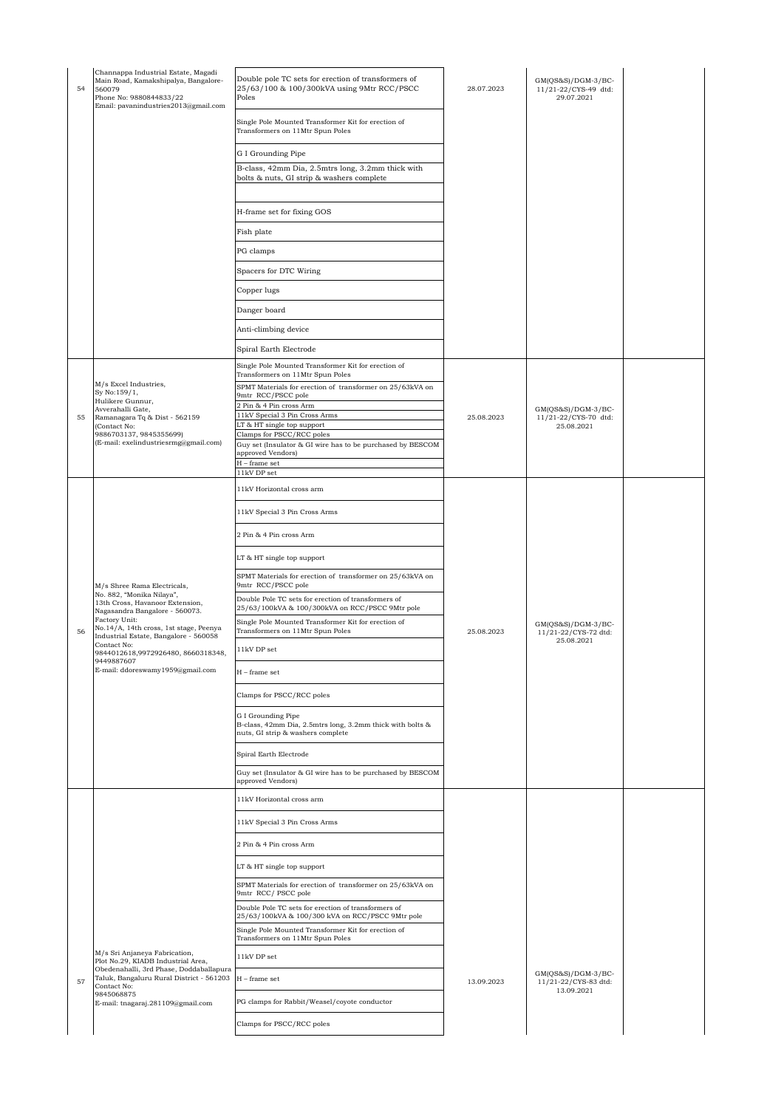| 54 | Channappa Industrial Estate, Magadi<br>Main Road, Kamakshipalya, Bangalore-<br>560079<br>Phone No: 9880844833/22<br>Email: pavanindustries2013@gmail.com | Double pole TC sets for erection of transformers of<br>25/63/100 & 100/300kVA using 9Mtr RCC/PSCC<br>Poles           | 28.07.2023 | $GM(QS&S)/DGM-3/BC-$<br>11/21-22/CYS-49 dtd:<br>29.07.2021 |  |
|----|----------------------------------------------------------------------------------------------------------------------------------------------------------|----------------------------------------------------------------------------------------------------------------------|------------|------------------------------------------------------------|--|
|    |                                                                                                                                                          | Single Pole Mounted Transformer Kit for erection of<br>Transformers on 11Mtr Spun Poles                              |            |                                                            |  |
|    |                                                                                                                                                          | G I Grounding Pipe                                                                                                   |            |                                                            |  |
|    |                                                                                                                                                          | B-class, 42mm Dia, 2.5mtrs long, 3.2mm thick with<br>bolts & nuts, GI strip & washers complete                       |            |                                                            |  |
|    |                                                                                                                                                          | H-frame set for fixing GOS                                                                                           |            |                                                            |  |
|    |                                                                                                                                                          | Fish plate                                                                                                           |            |                                                            |  |
|    |                                                                                                                                                          | PG clamps                                                                                                            |            |                                                            |  |
|    |                                                                                                                                                          | Spacers for DTC Wiring                                                                                               |            |                                                            |  |
|    |                                                                                                                                                          | Copper lugs                                                                                                          |            |                                                            |  |
|    |                                                                                                                                                          | Danger board                                                                                                         |            |                                                            |  |
|    |                                                                                                                                                          | Anti-climbing device                                                                                                 |            |                                                            |  |
|    |                                                                                                                                                          | Spiral Earth Electrode                                                                                               |            |                                                            |  |
|    |                                                                                                                                                          | Single Pole Mounted Transformer Kit for erection of<br>Transformers on 11Mtr Spun Poles                              |            |                                                            |  |
|    | M/s Excel Industries,<br>Sy No:159/1,                                                                                                                    | SPMT Materials for erection of transformer on 25/63kVA on                                                            |            |                                                            |  |
|    | Hulikere Gunnur,<br>Avverahalli Gate,                                                                                                                    | 9mtr RCC/PSCC pole<br>2 Pin & 4 Pin cross Arm                                                                        |            | $GM(QS&S)/DGM-3/BC-$                                       |  |
| 55 | Ramanagara Tq & Dist - 562159<br>(Contact No:                                                                                                            | 11kV Special 3 Pin Cross Arms<br>LT & HT single top support                                                          | 25.08.2023 | 11/21-22/CYS-70 dtd:<br>25.08.2021                         |  |
|    | 9886703137, 9845355699)<br>(E-mail: exelindustriesrmg@gmail.com)                                                                                         | Clamps for PSCC/RCC poles<br>Guy set (Insulator & GI wire has to be purchased by BESCOM                              |            |                                                            |  |
|    |                                                                                                                                                          | approved Vendors)<br>$H$ – frame set                                                                                 |            |                                                            |  |
|    |                                                                                                                                                          | 11kV DP set<br>11kV Horizontal cross arm                                                                             |            |                                                            |  |
|    |                                                                                                                                                          | 11kV Special 3 Pin Cross Arms                                                                                        |            |                                                            |  |
|    |                                                                                                                                                          | 2 Pin & 4 Pin cross Arm                                                                                              |            |                                                            |  |
|    |                                                                                                                                                          | LT & HT single top support                                                                                           |            |                                                            |  |
|    | M/s Shree Rama Electricals,                                                                                                                              | SPMT Materials for erection of transformer on 25/63kVA on<br>9mtr RCC/PSCC pole                                      |            |                                                            |  |
|    | No. 882, "Monika Nilaya",<br>13th Cross, Havanoor Extension,<br>Nagasandra Bangalore - 560073.                                                           | Double Pole TC sets for erection of transformers of<br>25/63/100kVA & 100/300kVA on RCC/PSCC 9Mtr pole               |            |                                                            |  |
| 56 | Factory Unit:<br>No.14/A, 14th cross, 1st stage, Peenya<br>Industrial Estate, Bangalore - 560058                                                         | Single Pole Mounted Transformer Kit for erection of<br>Transformers on 11Mtr Spun Poles                              | 25.08.2023 | $GM(OS&S)/DGM-3/BC-$<br>11/21-22/CYS-72 dtd:               |  |
|    | Contact No:<br>9844012618,9972926480, 8660318348,                                                                                                        | 11kV DP set                                                                                                          |            | 25.08.2021                                                 |  |
|    | 9449887607<br>E-mail: ddoreswamy1959@gmail.com                                                                                                           | $H$ – frame set                                                                                                      |            |                                                            |  |
|    |                                                                                                                                                          | Clamps for PSCC/RCC poles                                                                                            |            |                                                            |  |
|    |                                                                                                                                                          | G I Grounding Pipe<br>B-class, 42mm Dia, 2.5mtrs long, 3.2mm thick with bolts &<br>nuts, GI strip & washers complete |            |                                                            |  |
|    |                                                                                                                                                          | Spiral Earth Electrode                                                                                               |            |                                                            |  |
|    |                                                                                                                                                          | Guy set (Insulator & GI wire has to be purchased by BESCOM<br>approved Vendors)                                      |            |                                                            |  |
|    |                                                                                                                                                          | 11kV Horizontal cross arm                                                                                            |            |                                                            |  |
|    |                                                                                                                                                          | 11kV Special 3 Pin Cross Arms                                                                                        |            |                                                            |  |
|    |                                                                                                                                                          | 2 Pin & 4 Pin cross Arm                                                                                              |            |                                                            |  |
|    |                                                                                                                                                          | LT & HT single top support                                                                                           |            |                                                            |  |
|    |                                                                                                                                                          | SPMT Materials for erection of transformer on 25/63kVA on<br>9mtr RCC/ PSCC pole                                     |            |                                                            |  |
|    |                                                                                                                                                          | Double Pole TC sets for erection of transformers of<br>25/63/100kVA & 100/300 kVA on RCC/PSCC 9Mtr pole              |            |                                                            |  |
|    |                                                                                                                                                          | Single Pole Mounted Transformer Kit for erection of<br>Transformers on 11Mtr Spun Poles                              |            |                                                            |  |
|    | M/s Sri Anjaneya Fabrication,                                                                                                                            | $11\mathrm{kV}$ DP set                                                                                               |            |                                                            |  |
|    | Plot No.29, KIADB Industrial Area,<br>Obedenahalli, 3rd Phase, Doddaballapura<br>Taluk, Bangaluru Rural District - 561203                                | $H$ – frame set                                                                                                      |            | $GM(QS&S)/DGM-3/BC-$                                       |  |
| 57 | Contact No:<br>9845068875                                                                                                                                |                                                                                                                      | 13.09.2023 | 11/21-22/CYS-83 dtd:<br>13.09.2021                         |  |
|    | E-mail: tnagaraj.281109@gmail.com                                                                                                                        | PG clamps for Rabbit/Weasel/coyote conductor                                                                         |            |                                                            |  |
|    |                                                                                                                                                          | Clamps for PSCC/RCC poles                                                                                            |            |                                                            |  |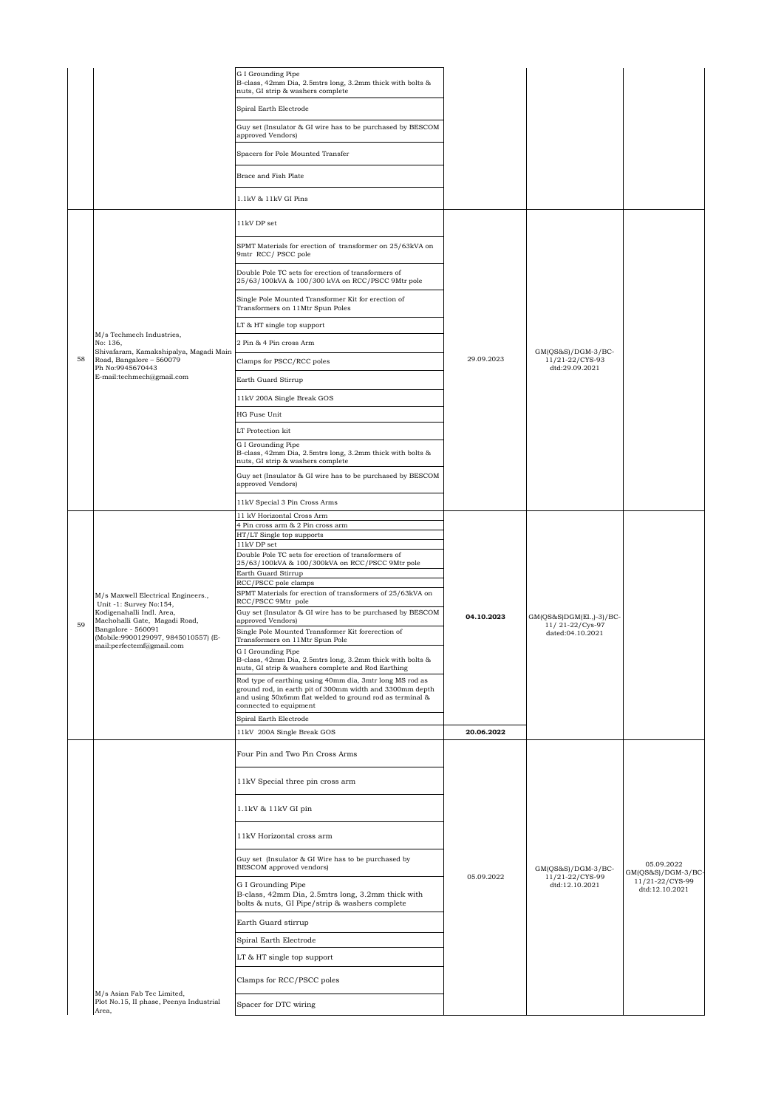|    |                                                                       | G I Grounding Pipe<br>B-class, 42mm Dia, 2.5mtrs long, 3.2mm thick with bolts &<br>nuts, GI strip & washers complete                                                        |            |                                                                 |                                    |
|----|-----------------------------------------------------------------------|-----------------------------------------------------------------------------------------------------------------------------------------------------------------------------|------------|-----------------------------------------------------------------|------------------------------------|
|    |                                                                       | Spiral Earth Electrode                                                                                                                                                      |            |                                                                 |                                    |
|    |                                                                       | Guy set (Insulator & GI wire has to be purchased by BESCOM<br>approved Vendors)                                                                                             |            |                                                                 |                                    |
|    |                                                                       | Spacers for Pole Mounted Transfer                                                                                                                                           |            |                                                                 |                                    |
|    |                                                                       | Brace and Fish Plate                                                                                                                                                        |            |                                                                 |                                    |
|    |                                                                       | 1.1kV & 11kV GI Pins                                                                                                                                                        |            |                                                                 |                                    |
|    |                                                                       | 11kV DP set                                                                                                                                                                 |            |                                                                 |                                    |
|    |                                                                       | SPMT Materials for erection of transformer on 25/63kVA on<br>9mtr RCC/PSCC pole                                                                                             |            |                                                                 |                                    |
|    |                                                                       | Double Pole TC sets for erection of transformers of<br>25/63/100kVA & 100/300 kVA on RCC/PSCC 9Mtr pole                                                                     |            |                                                                 |                                    |
|    |                                                                       | Single Pole Mounted Transformer Kit for erection of<br>Transformers on 11Mtr Spun Poles                                                                                     |            |                                                                 |                                    |
|    |                                                                       | LT & HT single top support                                                                                                                                                  |            |                                                                 |                                    |
|    | M/s Techmech Industries,<br>No: 136,                                  | 2 Pin & 4 Pin cross Arm                                                                                                                                                     |            |                                                                 |                                    |
| 58 | Shivafaram, Kamakshipalya, Magadi Main<br>Road, Bangalore - 560079    | Clamps for PSCC/RCC poles                                                                                                                                                   | 29.09.2023 | $GM(OS&S)/DGM-3/BC-$<br>11/21-22/CYS-93                         |                                    |
|    | Ph No:9945670443<br>E-mail:techmech@gmail.com                         | Earth Guard Stirrup                                                                                                                                                         |            | dtd:29.09.2021                                                  |                                    |
|    |                                                                       | 11kV 200A Single Break GOS                                                                                                                                                  |            |                                                                 |                                    |
|    |                                                                       | HG Fuse Unit                                                                                                                                                                |            |                                                                 |                                    |
|    |                                                                       | LT Protection kit                                                                                                                                                           |            |                                                                 |                                    |
|    |                                                                       | G I Grounding Pipe<br>B-class, 42mm Dia, 2.5mtrs long, 3.2mm thick with bolts &<br>nuts, GI strip & washers complete                                                        |            |                                                                 |                                    |
|    |                                                                       | Guy set (Insulator & GI wire has to be purchased by BESCOM<br>approved Vendors)                                                                                             |            |                                                                 |                                    |
|    |                                                                       | 11kV Special 3 Pin Cross Arms                                                                                                                                               |            |                                                                 |                                    |
|    |                                                                       | 11 kV Horizontal Cross Arm<br>4 Pin cross arm & 2 Pin cross arm                                                                                                             |            | GM(QS&S)DGM(El.,)-3)/BC-<br>11/21-22/Cys-97<br>dated:04.10.2021 |                                    |
|    |                                                                       | HT/LT Single top supports                                                                                                                                                   |            |                                                                 |                                    |
|    |                                                                       | 11kV DP set<br>Double Pole TC sets for erection of transformers of                                                                                                          |            |                                                                 |                                    |
|    |                                                                       | 25/63/100kVA & 100/300kVA on RCC/PSCC 9Mtr pole<br>Earth Guard Stirrup                                                                                                      |            |                                                                 |                                    |
|    |                                                                       | RCC/PSCC pole clamps                                                                                                                                                        |            |                                                                 |                                    |
|    | M/s Maxwell Electrical Engineers.,<br>Unit -1: Survey No:154,         | SPMT Materials for erection of transformers of 25/63kVA on<br>RCC/PSCC 9Mtr pole                                                                                            | 04.10.2023 |                                                                 |                                    |
| 59 | Kodigenahalli Indl. Area,<br>Machohalli Gate, Magadi Road,            | Guy set (Insulator & GI wire has to be purchased by BESCOM<br>approved Vendors)                                                                                             |            |                                                                 |                                    |
|    | Bangalore - 560091<br>(Mobile:9900129097, 9845010557) (E-             | Single Pole Mounted Transformer Kit forerection of<br>Transformers on 11Mtr Spun Pole                                                                                       |            |                                                                 |                                    |
|    | mail:perfectemf@gmail.com                                             | G I Grounding Pipe                                                                                                                                                          |            |                                                                 |                                    |
|    |                                                                       | B-class, 42mm Dia, 2.5mtrs long, 3.2mm thick with bolts &<br>nuts, GI strip & washers complete and Rod Earthing<br>Rod type of earthing using 40mm dia, 3mtr long MS rod as |            |                                                                 |                                    |
|    |                                                                       | ground rod, in earth pit of 300mm width and 3300mm depth<br>and using 50x6mm flat welded to ground rod as terminal &<br>connected to equipment                              |            |                                                                 |                                    |
|    |                                                                       | Spiral Earth Electrode                                                                                                                                                      |            |                                                                 |                                    |
|    |                                                                       | 11kV 200A Single Break GOS                                                                                                                                                  | 20.06.2022 |                                                                 |                                    |
|    |                                                                       | Four Pin and Two Pin Cross Arms                                                                                                                                             |            |                                                                 |                                    |
|    |                                                                       | 11kV Special three pin cross arm                                                                                                                                            |            |                                                                 |                                    |
|    |                                                                       | 1.1kV & 11kV GI pin                                                                                                                                                         |            |                                                                 |                                    |
|    |                                                                       | 11kV Horizontal cross arm                                                                                                                                                   |            |                                                                 |                                    |
|    |                                                                       | Guy set (Insulator & GI Wire has to be purchased by<br>BESCOM approved vendors)                                                                                             | 05.09.2022 | $GM(QS&S)/DGM-3/BC-$<br>11/21-22/CYS-99<br>dtd:12.10.2021       | 05.09.2022<br>$GM(QS&S)/DGM-3/BC-$ |
|    |                                                                       | G I Grounding Pipe<br>B-class, 42mm Dia, 2.5mtrs long, 3.2mm thick with<br>bolts & nuts, GI Pipe/strip & washers complete                                                   |            |                                                                 | 11/21-22/CYS-99<br>dtd:12.10.2021  |
|    |                                                                       | Earth Guard stirrup                                                                                                                                                         |            |                                                                 |                                    |
|    |                                                                       | Spiral Earth Electrode                                                                                                                                                      |            |                                                                 |                                    |
|    |                                                                       | LT & HT single top support                                                                                                                                                  |            |                                                                 |                                    |
|    |                                                                       | Clamps for RCC/PSCC poles                                                                                                                                                   |            |                                                                 |                                    |
|    | M/s Asian Fab Tec Limited,<br>Plot No.15, II phase, Peenya Industrial | Spacer for DTC wiring                                                                                                                                                       |            |                                                                 |                                    |
|    | Area,                                                                 |                                                                                                                                                                             |            |                                                                 |                                    |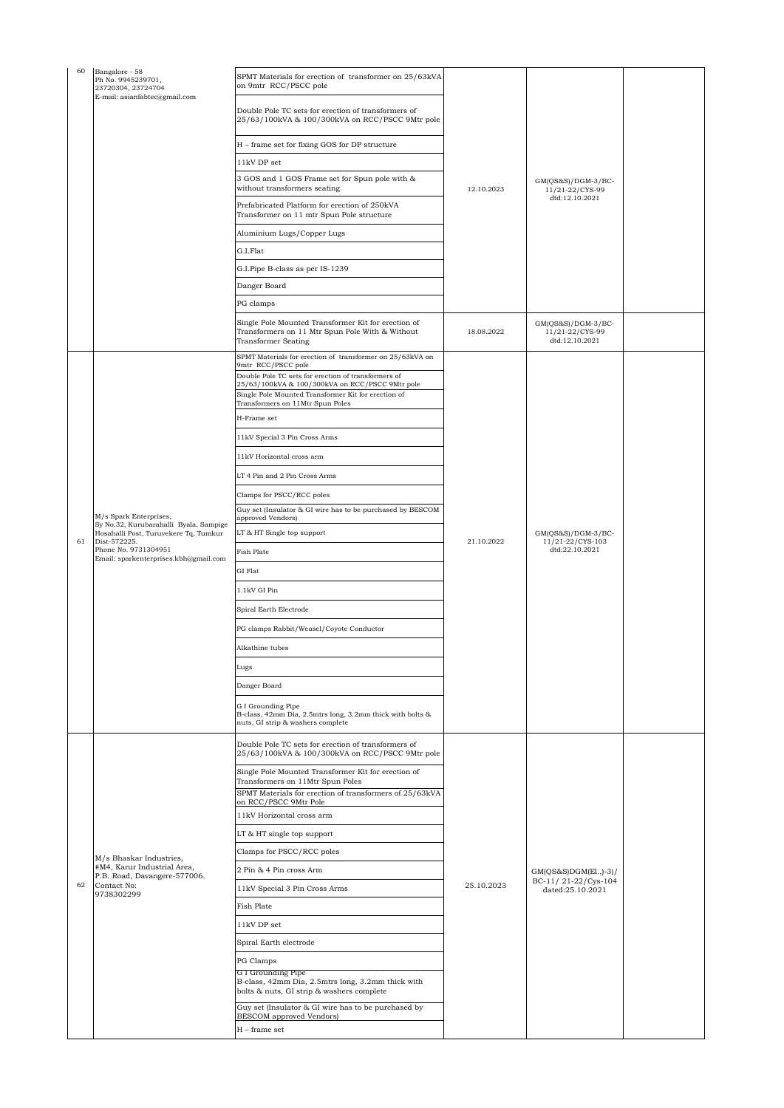| 60 | Bangalore - 58<br>Ph No. 9945239701,<br>23720304, 23724704<br>E-mail: asianfabtec@gmail.com                                                                      | SPMT Materials for erection of transformer on 25/63kVA<br>on 9mtr RCC/PSCC pole                                                                                                                   |            |                                                            |  |
|----|------------------------------------------------------------------------------------------------------------------------------------------------------------------|---------------------------------------------------------------------------------------------------------------------------------------------------------------------------------------------------|------------|------------------------------------------------------------|--|
|    |                                                                                                                                                                  | Double Pole TC sets for erection of transformers of<br>25/63/100kVA & 100/300kVA on RCC/PSCC 9Mtr pole                                                                                            |            |                                                            |  |
|    |                                                                                                                                                                  | H – frame set for fixing GOS for DP structure                                                                                                                                                     | 12.10.2023 |                                                            |  |
|    |                                                                                                                                                                  | 11kV DP set                                                                                                                                                                                       |            |                                                            |  |
|    |                                                                                                                                                                  | 3 GOS and 1 GOS Frame set for Spun pole with &<br>without transformers seating                                                                                                                    |            | $GM(QS&S)/DGM-3/BC-$<br>11/21-22/CYS-99<br>dtd:12.10.2021  |  |
|    |                                                                                                                                                                  | Prefabricated Platform for erection of 250kVA<br>Transformer on 11 mtr Spun Pole structure                                                                                                        |            |                                                            |  |
|    |                                                                                                                                                                  | Aluminium Lugs/Copper Lugs                                                                                                                                                                        |            |                                                            |  |
|    |                                                                                                                                                                  | G.I.Flat                                                                                                                                                                                          |            |                                                            |  |
|    |                                                                                                                                                                  | G.I.Pipe B-class as per IS-1239                                                                                                                                                                   |            |                                                            |  |
|    |                                                                                                                                                                  | Danger Board                                                                                                                                                                                      |            |                                                            |  |
|    |                                                                                                                                                                  | PG clamps                                                                                                                                                                                         |            |                                                            |  |
|    |                                                                                                                                                                  | Single Pole Mounted Transformer Kit for erection of<br>Transformers on 11 Mtr Spun Pole With & Without<br><b>Transformer Seating</b>                                                              | 18.08.2022 | $GM(QS&S)/DGM-3/BC-$<br>11/21-22/CYS-99<br>dtd:12.10.2021  |  |
|    |                                                                                                                                                                  | SPMT Materials for erection of transformer on 25/63kVA on<br>9mtr RCC/PSCC pole                                                                                                                   |            |                                                            |  |
|    |                                                                                                                                                                  | Double Pole TC sets for erection of transformers of<br>25/63/100kVA & 100/300kVA on RCC/PSCC 9Mtr pole<br>Single Pole Mounted Transformer Kit for erection of<br>Transformers on 11Mtr Spun Poles |            |                                                            |  |
|    |                                                                                                                                                                  | H-Frame set                                                                                                                                                                                       |            |                                                            |  |
|    |                                                                                                                                                                  | 11kV Special 3 Pin Cross Arms                                                                                                                                                                     |            |                                                            |  |
|    |                                                                                                                                                                  | 11kV Horizontal cross arm                                                                                                                                                                         |            |                                                            |  |
|    |                                                                                                                                                                  | LT 4 Pin and 2 Pin Cross Arms                                                                                                                                                                     |            |                                                            |  |
|    |                                                                                                                                                                  | Clamps for PSCC/RCC poles                                                                                                                                                                         |            |                                                            |  |
|    | M/s Spark Enterprises,                                                                                                                                           | Guy set (Insulator & GI wire has to be purchased by BESCOM<br>approved Vendors)                                                                                                                   |            | $GM(QS&S)/DGM-3/BC-$<br>11/21-22/CYS-103<br>dtd:22.10.2021 |  |
|    | Sy No.32, Kurubarahalli Byala, Sampige<br>Hosahalli Post, Turuvekere Tq, Tumkur<br>Dist-572225.<br>Phone No. 9731304951<br>Email: sparkenterprises.kbh@gmail.com | LT & HT Single top support                                                                                                                                                                        |            |                                                            |  |
| 61 |                                                                                                                                                                  | <b>Fish Plate</b>                                                                                                                                                                                 | 21.10.2022 |                                                            |  |
|    |                                                                                                                                                                  | GI Flat                                                                                                                                                                                           |            |                                                            |  |
|    |                                                                                                                                                                  | 1.1kV GI Pin                                                                                                                                                                                      |            |                                                            |  |
|    |                                                                                                                                                                  | Spiral Earth Electrode                                                                                                                                                                            |            |                                                            |  |
|    |                                                                                                                                                                  | PG clamps Rabbit/Weasel/Coyote Conductor                                                                                                                                                          |            |                                                            |  |
|    |                                                                                                                                                                  | Alkathine tubes                                                                                                                                                                                   |            |                                                            |  |
|    |                                                                                                                                                                  | Lugs                                                                                                                                                                                              |            |                                                            |  |
|    |                                                                                                                                                                  |                                                                                                                                                                                                   |            |                                                            |  |
|    |                                                                                                                                                                  | Danger Board                                                                                                                                                                                      |            |                                                            |  |
|    |                                                                                                                                                                  | G I Grounding Pipe<br>B-class, 42mm Dia, 2.5mtrs long, 3.2mm thick with bolts &<br>nuts, GI strip & washers complete                                                                              |            |                                                            |  |
|    |                                                                                                                                                                  | Double Pole TC sets for erection of transformers of<br>25/63/100kVA & 100/300kVA on RCC/PSCC 9Mtr pole                                                                                            |            |                                                            |  |
|    |                                                                                                                                                                  | Single Pole Mounted Transformer Kit for erection of<br>Transformers on 11Mtr Spun Poles                                                                                                           |            |                                                            |  |
|    |                                                                                                                                                                  | SPMT Materials for erection of transformers of 25/63kVA<br>on RCC/PSCC 9Mtr Pole                                                                                                                  |            |                                                            |  |
|    |                                                                                                                                                                  | 11kV Horizontal cross arm                                                                                                                                                                         |            |                                                            |  |
|    |                                                                                                                                                                  | LT & HT single top support                                                                                                                                                                        |            |                                                            |  |
|    | M/s Bhaskar Industries,                                                                                                                                          | Clamps for PSCC/RCC poles                                                                                                                                                                         |            |                                                            |  |
|    | #M4, Karur Industrial Area,<br>P.B. Road, Davangere-577006.                                                                                                      | 2 Pin & 4 Pin cross Arm                                                                                                                                                                           |            | GM(QS&S)DGM(El.,)-3)/                                      |  |
| 62 | Contact No:<br>9738302299                                                                                                                                        | 11kV Special 3 Pin Cross Arms                                                                                                                                                                     | 25.10.2023 | BC-11/21-22/Cys-104<br>dated:25.10.2021                    |  |
|    |                                                                                                                                                                  | Fish Plate                                                                                                                                                                                        |            |                                                            |  |
|    |                                                                                                                                                                  | 11kV DP set                                                                                                                                                                                       |            |                                                            |  |
|    |                                                                                                                                                                  | Spiral Earth electrode                                                                                                                                                                            |            |                                                            |  |
|    |                                                                                                                                                                  | PG Clamps                                                                                                                                                                                         |            |                                                            |  |
|    |                                                                                                                                                                  | G I Grounding Pipe<br>B-class, 42mm Dia, 2.5mtrs long, 3.2mm thick with<br>bolts & nuts, GI strip & washers complete                                                                              |            |                                                            |  |
|    |                                                                                                                                                                  | Guy set (Insulator & GI wire has to be purchased by<br><b>BESCOM</b> approved Vendors)                                                                                                            |            |                                                            |  |
|    |                                                                                                                                                                  | H - frame set                                                                                                                                                                                     |            |                                                            |  |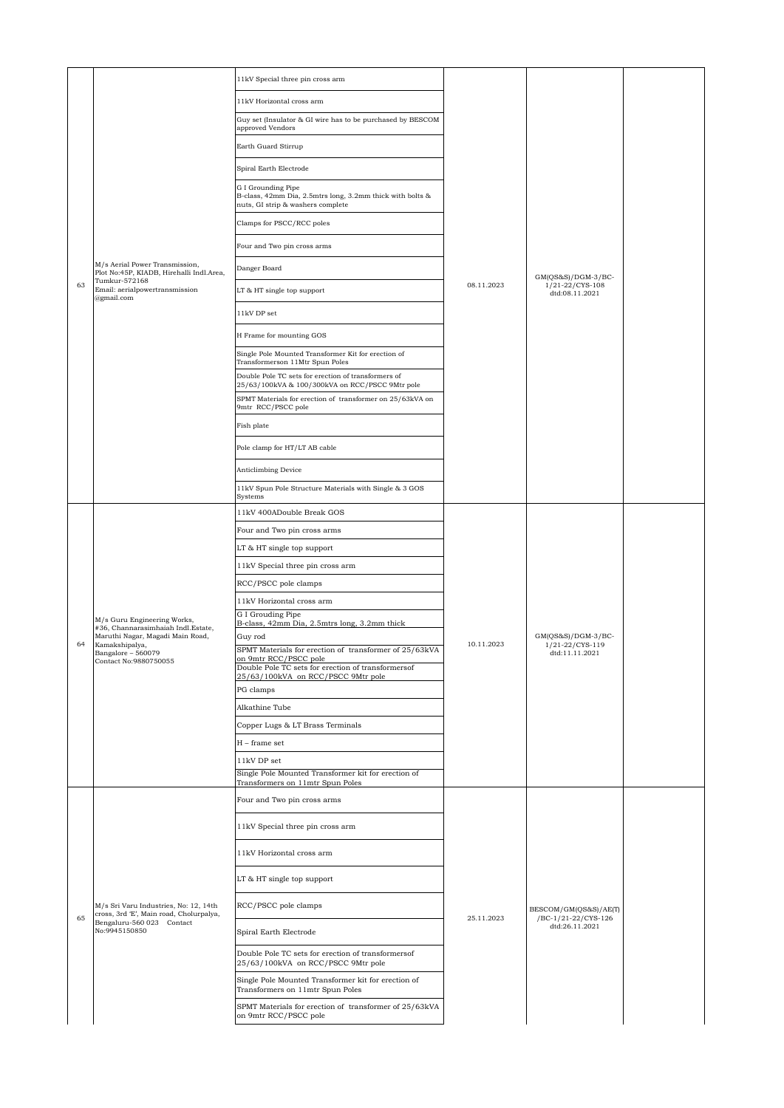|    |                                                                                  | 11kV Special three pin cross arm                                                                                     |                                                     |                                                           |  |
|----|----------------------------------------------------------------------------------|----------------------------------------------------------------------------------------------------------------------|-----------------------------------------------------|-----------------------------------------------------------|--|
|    |                                                                                  | 11kV Horizontal cross arm                                                                                            |                                                     |                                                           |  |
|    |                                                                                  | Guy set (Insulator & GI wire has to be purchased by BESCOM<br>approved Vendors                                       |                                                     |                                                           |  |
|    |                                                                                  | Earth Guard Stirrup                                                                                                  |                                                     |                                                           |  |
|    | M/s Aerial Power Transmission,<br>Plot No:45P, KIADB, Hirehalli Indl.Area,       | Spiral Earth Electrode                                                                                               |                                                     |                                                           |  |
|    |                                                                                  | G I Grounding Pipe<br>B-class, 42mm Dia, 2.5mtrs long, 3.2mm thick with bolts &<br>nuts, GI strip & washers complete |                                                     |                                                           |  |
|    |                                                                                  | Clamps for PSCC/RCC poles                                                                                            |                                                     |                                                           |  |
|    |                                                                                  | Four and Two pin cross arms                                                                                          |                                                     |                                                           |  |
|    |                                                                                  | Danger Board                                                                                                         |                                                     |                                                           |  |
| 63 | Tumkur-572168<br>Email: aerialpowertransmission<br>@gmail.com                    | LT & HT single top support                                                                                           | 08.11.2023                                          | $GM(QS&S)/DGM-3/BC-$<br>1/21-22/CYS-108<br>dtd:08.11.2021 |  |
|    |                                                                                  | 11kV DP set                                                                                                          |                                                     |                                                           |  |
|    |                                                                                  | H Frame for mounting GOS                                                                                             |                                                     |                                                           |  |
|    |                                                                                  | Single Pole Mounted Transformer Kit for erection of<br>Transformerson 11Mtr Spun Poles                               |                                                     |                                                           |  |
|    |                                                                                  | Double Pole TC sets for erection of transformers of<br>25/63/100kVA & 100/300kVA on RCC/PSCC 9Mtr pole               |                                                     |                                                           |  |
|    |                                                                                  | SPMT Materials for erection of transformer on 25/63kVA on<br>9mtr RCC/PSCC pole                                      |                                                     |                                                           |  |
|    |                                                                                  | Fish plate                                                                                                           |                                                     |                                                           |  |
|    |                                                                                  | Pole clamp for HT/LT AB cable                                                                                        |                                                     |                                                           |  |
|    |                                                                                  | Anticlimbing Device                                                                                                  |                                                     |                                                           |  |
|    |                                                                                  | 11kV Spun Pole Structure Materials with Single & 3 GOS                                                               |                                                     |                                                           |  |
|    |                                                                                  | Systems<br>11kV 400ADouble Break GOS                                                                                 |                                                     | $GM(QS&S)/DGM-3/BC-$<br>1/21-22/CYS-119<br>dtd:11.11.2021 |  |
|    |                                                                                  | Four and Two pin cross arms                                                                                          |                                                     |                                                           |  |
|    |                                                                                  | LT & HT single top support                                                                                           |                                                     |                                                           |  |
|    |                                                                                  | 11kV Special three pin cross arm                                                                                     |                                                     |                                                           |  |
|    |                                                                                  | RCC/PSCC pole clamps                                                                                                 |                                                     |                                                           |  |
|    |                                                                                  | 11kV Horizontal cross arm                                                                                            |                                                     |                                                           |  |
|    | M/s Guru Engineering Works,                                                      | G I Grouding Pipe<br>B-class, 42mm Dia, 2.5mtrs long, 3.2mm thick                                                    | 10.11.2023                                          |                                                           |  |
|    | #36, Channarasimhaiah Indl.Estate,<br>Maruthi Nagar, Magadi Main Road,           | Guy rod                                                                                                              |                                                     |                                                           |  |
| 64 | Kamakshipalya,<br>Bangalore - 560079                                             | SPMT Materials for erection of transformer of 25/63kVA<br>on 9mtr RCC/PSCC pole                                      |                                                     |                                                           |  |
|    | Contact No:9880750055                                                            | Double Pole TC sets for erection of transformersof<br>25/63/100kVA on RCC/PSCC 9Mtr pole                             |                                                     |                                                           |  |
|    |                                                                                  | PG clamps                                                                                                            |                                                     |                                                           |  |
|    |                                                                                  | Alkathine Tube                                                                                                       |                                                     |                                                           |  |
|    |                                                                                  | Copper Lugs & LT Brass Terminals                                                                                     |                                                     |                                                           |  |
|    |                                                                                  | H - frame set                                                                                                        |                                                     |                                                           |  |
|    |                                                                                  | 11kV DP set                                                                                                          |                                                     |                                                           |  |
|    |                                                                                  | Single Pole Mounted Transformer kit for erection of                                                                  |                                                     |                                                           |  |
|    |                                                                                  | Transformers on 11mtr Spun Poles<br>Four and Two pin cross arms                                                      |                                                     |                                                           |  |
|    |                                                                                  | 11kV Special three pin cross arm                                                                                     |                                                     |                                                           |  |
|    |                                                                                  | 11kV Horizontal cross arm                                                                                            |                                                     |                                                           |  |
|    |                                                                                  | LT & HT single top support                                                                                           |                                                     | BESCOM/GM(QS&S)/AE(T)                                     |  |
| 65 | M/s Sri Varu Industries, No: 12, 14th<br>cross, 3rd 'E', Main road, Cholurpalya, | RCC/PSCC pole clamps                                                                                                 | /BC-1/21-22/CYS-126<br>25.11.2023<br>dtd:26.11.2021 |                                                           |  |
|    | Bengaluru-560 023 Contact<br>No:9945150850                                       | Spiral Earth Electrode                                                                                               |                                                     |                                                           |  |
|    |                                                                                  | Double Pole TC sets for erection of transformersof<br>25/63/100kVA on RCC/PSCC 9Mtr pole                             |                                                     |                                                           |  |
|    |                                                                                  | Single Pole Mounted Transformer kit for erection of<br>Transformers on 11mtr Spun Poles                              |                                                     |                                                           |  |
|    |                                                                                  | SPMT Materials for erection of transformer of 25/63kVA<br>on 9mtr RCC/PSCC pole                                      |                                                     |                                                           |  |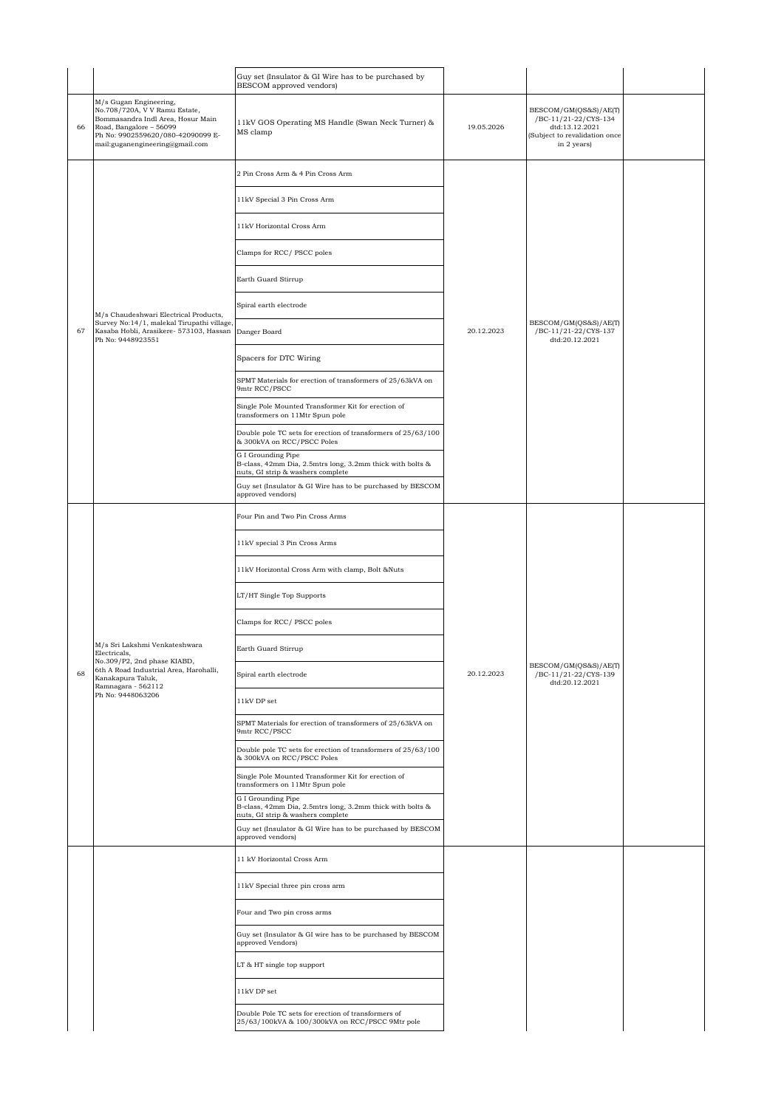|    |                                                                                                                                                                                                 | Guy set (Insulator & GI Wire has to be purchased by<br>BESCOM approved vendors)                                                                                           |            |                                                                                                                |  |
|----|-------------------------------------------------------------------------------------------------------------------------------------------------------------------------------------------------|---------------------------------------------------------------------------------------------------------------------------------------------------------------------------|------------|----------------------------------------------------------------------------------------------------------------|--|
| 66 | M/s Gugan Engineering,<br>No.708/720A, V V Ramu Estate,<br>Bommasandra Indl Area, Hosur Main<br>Road, Bangalore - 56099<br>Ph No: 9902559620/080-42090099 E-<br>mail:guganengineering@gmail.com | 11kV GOS Operating MS Handle (Swan Neck Turner) &<br>MS clamp                                                                                                             | 19.05.2026 | BESCOM/GM(QS&S)/AE(T)<br>/BC-11/21-22/CYS-134<br>dtd:13.12.2021<br>Subject to revalidation once<br>in 2 years) |  |
|    |                                                                                                                                                                                                 | 2 Pin Cross Arm & 4 Pin Cross Arm                                                                                                                                         |            |                                                                                                                |  |
|    |                                                                                                                                                                                                 | 11kV Special 3 Pin Cross Arm                                                                                                                                              |            |                                                                                                                |  |
|    |                                                                                                                                                                                                 | 11kV Horizontal Cross Arm                                                                                                                                                 |            |                                                                                                                |  |
|    |                                                                                                                                                                                                 | Clamps for RCC/ PSCC poles                                                                                                                                                |            |                                                                                                                |  |
|    |                                                                                                                                                                                                 | Earth Guard Stirrup                                                                                                                                                       |            |                                                                                                                |  |
|    | M/s Chaudeshwari Electrical Products,                                                                                                                                                           | Spiral earth electrode                                                                                                                                                    |            |                                                                                                                |  |
| 67 | Survey No:14/1, malekal Tirupathi village,<br>Kasaba Hobli, Arasikere- 573103, Hassan<br>Ph No: 9448923551                                                                                      | Danger Board                                                                                                                                                              | 20.12.2023 | BESCOM/GM(QS&S)/AE(T)<br>/BC-11/21-22/CYS-137<br>dtd:20.12.2021                                                |  |
|    |                                                                                                                                                                                                 | Spacers for DTC Wiring                                                                                                                                                    |            |                                                                                                                |  |
|    |                                                                                                                                                                                                 | SPMT Materials for erection of transformers of 25/63kVA on<br>9mtr RCC/PSCC                                                                                               |            |                                                                                                                |  |
|    |                                                                                                                                                                                                 | Single Pole Mounted Transformer Kit for erection of<br>transformers on 11Mtr Spun pole                                                                                    |            |                                                                                                                |  |
|    |                                                                                                                                                                                                 | Double pole TC sets for erection of transformers of 25/63/100<br>& 300kVA on RCC/PSCC Poles                                                                               |            |                                                                                                                |  |
|    |                                                                                                                                                                                                 | G I Grounding Pipe<br>B-class, 42mm Dia, 2.5mtrs long, 3.2mm thick with bolts &<br>nuts, GI strip & washers complete                                                      |            |                                                                                                                |  |
|    |                                                                                                                                                                                                 | Guy set (Insulator & GI Wire has to be purchased by BESCOM<br>approved vendors)                                                                                           |            |                                                                                                                |  |
|    | M/s Sri Lakshmi Venkateshwara<br>Electricals,<br>No.309/P2, 2nd phase KIABD,<br>6th A Road Industrial Area, Harohalli,<br>Kanakapura Taluk,<br>Ramnagara - 562112<br>Ph No: 9448063206          | Four Pin and Two Pin Cross Arms                                                                                                                                           |            | BESCOM/GM(QS&S)/AE(T)<br>/BC-11/21-22/CYS-139<br>dtd:20.12.2021                                                |  |
|    |                                                                                                                                                                                                 | 11kV special 3 Pin Cross Arms                                                                                                                                             |            |                                                                                                                |  |
|    |                                                                                                                                                                                                 | 11kV Horizontal Cross Arm with clamp, Bolt &Nuts                                                                                                                          |            |                                                                                                                |  |
|    |                                                                                                                                                                                                 | LT/HT Single Top Supports                                                                                                                                                 |            |                                                                                                                |  |
|    |                                                                                                                                                                                                 | Clamps for RCC/ PSCC poles                                                                                                                                                |            |                                                                                                                |  |
|    |                                                                                                                                                                                                 | Earth Guard Stirrup                                                                                                                                                       |            |                                                                                                                |  |
| 68 |                                                                                                                                                                                                 | Spiral earth electrode                                                                                                                                                    | 20.12.2023 |                                                                                                                |  |
|    |                                                                                                                                                                                                 | 11kV DP set                                                                                                                                                               |            |                                                                                                                |  |
|    |                                                                                                                                                                                                 | SPMT Materials for erection of transformers of 25/63kVA on<br>9mtr RCC/PSCC                                                                                               |            |                                                                                                                |  |
|    |                                                                                                                                                                                                 | Double pole TC sets for erection of transformers of 25/63/100<br>& 300kVA on RCC/PSCC Poles                                                                               |            |                                                                                                                |  |
|    |                                                                                                                                                                                                 | Single Pole Mounted Transformer Kit for erection of<br>transformers on 11Mtr Spun pole<br>G I Grounding Pipe<br>B-class, 42mm Dia, 2.5mtrs long, 3.2mm thick with bolts & |            |                                                                                                                |  |
|    |                                                                                                                                                                                                 | nuts, GI strip & washers complete<br>Guy set (Insulator & GI Wire has to be purchased by BESCOM<br>approved vendors)                                                      |            |                                                                                                                |  |
|    |                                                                                                                                                                                                 | 11 kV Horizontal Cross Arm                                                                                                                                                |            |                                                                                                                |  |
|    |                                                                                                                                                                                                 | 11kV Special three pin cross arm                                                                                                                                          |            |                                                                                                                |  |
|    |                                                                                                                                                                                                 | Four and Two pin cross arms                                                                                                                                               |            |                                                                                                                |  |
|    |                                                                                                                                                                                                 | Guy set (Insulator & GI wire has to be purchased by BESCOM<br>approved Vendors)                                                                                           |            |                                                                                                                |  |
|    |                                                                                                                                                                                                 | LT & HT single top support                                                                                                                                                |            |                                                                                                                |  |
|    |                                                                                                                                                                                                 | $11\mathrm{kV}$ DP set                                                                                                                                                    |            |                                                                                                                |  |
|    |                                                                                                                                                                                                 | Double Pole TC sets for erection of transformers of<br>25/63/100kVA & 100/300kVA on RCC/PSCC 9Mtr pole                                                                    |            |                                                                                                                |  |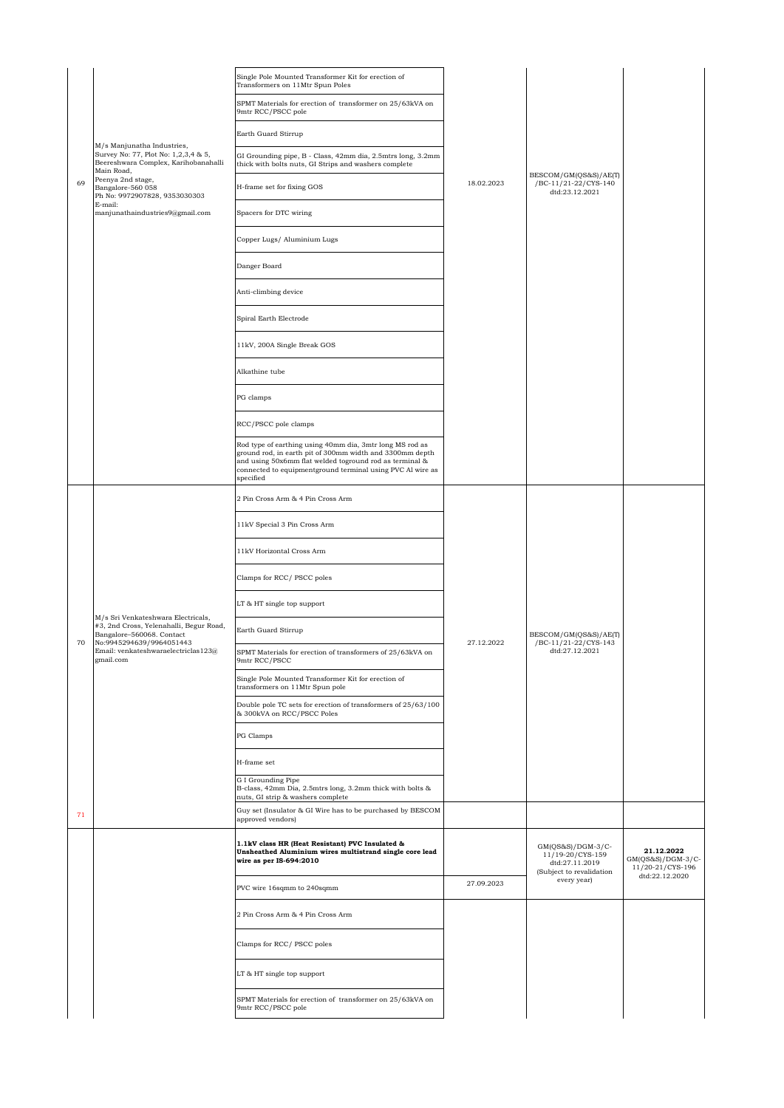|    |                                                                                                                                        | Single Pole Mounted Transformer Kit for erection of<br>Transformers on 11Mtr Spun Poles                                                                                                                                                                    |            |                                                                                       |                                                     |
|----|----------------------------------------------------------------------------------------------------------------------------------------|------------------------------------------------------------------------------------------------------------------------------------------------------------------------------------------------------------------------------------------------------------|------------|---------------------------------------------------------------------------------------|-----------------------------------------------------|
|    | M/s Manjunatha Industries,<br>Survey No: 77, Plot No: 1,2,3,4 & 5,<br>Beereshwara Complex, Karihobanahalli<br>Main Road,               | SPMT Materials for erection of transformer on 25/63kVA on<br>9mtr RCC/PSCC pole                                                                                                                                                                            |            |                                                                                       |                                                     |
|    |                                                                                                                                        | Earth Guard Stirrup                                                                                                                                                                                                                                        |            |                                                                                       |                                                     |
|    |                                                                                                                                        | GI Grounding pipe, B - Class, 42mm dia, 2.5mtrs long, 3.2mm<br>thick with bolts nuts, GI Strips and washers complete                                                                                                                                       |            |                                                                                       |                                                     |
| 69 | Peenya 2nd stage,<br>Bangalore-560 058<br>Ph No: 9972907828, 9353030303                                                                | H-frame set for fixing GOS                                                                                                                                                                                                                                 | 18.02.2023 | BESCOM/GM(QS&S)/AE(T)<br>/BC-11/21-22/CYS-140<br>dtd:23.12.2021                       |                                                     |
|    | E-mail:<br>manjunathaindustries9@gmail.com                                                                                             | Spacers for DTC wiring                                                                                                                                                                                                                                     |            |                                                                                       |                                                     |
|    |                                                                                                                                        | Copper Lugs/ Aluminium Lugs                                                                                                                                                                                                                                |            |                                                                                       |                                                     |
|    |                                                                                                                                        | Danger Board                                                                                                                                                                                                                                               |            |                                                                                       |                                                     |
|    |                                                                                                                                        | Anti-climbing device                                                                                                                                                                                                                                       |            |                                                                                       |                                                     |
|    |                                                                                                                                        | Spiral Earth Electrode                                                                                                                                                                                                                                     |            |                                                                                       |                                                     |
|    |                                                                                                                                        | 11kV, 200A Single Break GOS                                                                                                                                                                                                                                |            |                                                                                       |                                                     |
|    |                                                                                                                                        | Alkathine tube                                                                                                                                                                                                                                             |            |                                                                                       |                                                     |
|    |                                                                                                                                        | PG clamps                                                                                                                                                                                                                                                  |            |                                                                                       |                                                     |
|    |                                                                                                                                        | RCC/PSCC pole clamps                                                                                                                                                                                                                                       |            |                                                                                       |                                                     |
|    |                                                                                                                                        | Rod type of earthing using 40mm dia, 3mtr long MS rod as<br>ground rod, in earth pit of 300mm width and 3300mm depth<br>and using 50x6mm flat welded toground rod as terminal &<br>connected to equipmentground terminal using PVC Al wire as<br>specified |            |                                                                                       |                                                     |
|    | M/s Sri Venkateshwara Electricals,<br>#3, 2nd Cross, Yelenahalli, Begur Road,<br>Bangalore-560068. Contact<br>No:9945294639/9964051443 | 2 Pin Cross Arm & 4 Pin Cross Arm                                                                                                                                                                                                                          | 27.12.2022 | BESCOM/GM(QS&S)/AE(T)<br>/BC-11/21-22/CYS-143<br>dtd:27.12.2021                       |                                                     |
|    |                                                                                                                                        | 11kV Special 3 Pin Cross Arm                                                                                                                                                                                                                               |            |                                                                                       |                                                     |
|    |                                                                                                                                        | 11kV Horizontal Cross Arm                                                                                                                                                                                                                                  |            |                                                                                       |                                                     |
|    |                                                                                                                                        | Clamps for RCC/ PSCC poles                                                                                                                                                                                                                                 |            |                                                                                       |                                                     |
|    |                                                                                                                                        | LT & HT single top support                                                                                                                                                                                                                                 |            |                                                                                       |                                                     |
| 70 |                                                                                                                                        | Earth Guard Stirrup                                                                                                                                                                                                                                        |            |                                                                                       |                                                     |
|    | Email: venkateshwaraelectriclas123@<br>gmail.com                                                                                       | SPMT Materials for erection of transformers of 25/63kVA on<br>9mtr RCC/PSCC                                                                                                                                                                                |            |                                                                                       |                                                     |
|    |                                                                                                                                        | Single Pole Mounted Transformer Kit for erection of<br>transformers on 11Mtr Spun pole                                                                                                                                                                     |            |                                                                                       |                                                     |
|    |                                                                                                                                        | Double pole TC sets for erection of transformers of 25/63/100<br>& 300kVA on RCC/PSCC Poles                                                                                                                                                                |            |                                                                                       |                                                     |
|    |                                                                                                                                        | PG Clamps                                                                                                                                                                                                                                                  |            |                                                                                       |                                                     |
|    |                                                                                                                                        | $\operatorname{H-frame}$ set                                                                                                                                                                                                                               |            |                                                                                       |                                                     |
|    |                                                                                                                                        | G I Grounding Pipe<br>B-class, 42mm Dia, 2.5mtrs long, 3.2mm thick with bolts &<br>nuts, GI strip & washers complete                                                                                                                                       |            |                                                                                       |                                                     |
| 71 |                                                                                                                                        | Guy set (Insulator & GI Wire has to be purchased by BESCOM<br>approved vendors)                                                                                                                                                                            |            |                                                                                       |                                                     |
|    |                                                                                                                                        | 1.1kV class HR (Heat Resistant) PVC Insulated &<br>Unsheathed Aluminium wires multistrand single core lead<br>wire as per IS-694:2010                                                                                                                      |            | $GM(QS&S)/DGM-3/C-$<br>11/19-20/CYS-159<br>dtd:27.11.2019<br>(Subject to revalidation | 21.12.2022<br>GM(QS&S)/DGM-3/C-<br>11/20-21/CYS-196 |
|    |                                                                                                                                        | PVC wire 16sqmm to 240sqmm                                                                                                                                                                                                                                 | 27.09.2023 | every year)                                                                           | dtd:22.12.2020                                      |
|    |                                                                                                                                        | 2 Pin Cross Arm & 4 Pin Cross Arm                                                                                                                                                                                                                          |            |                                                                                       |                                                     |
|    |                                                                                                                                        | Clamps for RCC/ PSCC poles                                                                                                                                                                                                                                 |            |                                                                                       |                                                     |
|    |                                                                                                                                        | LT & HT single top support                                                                                                                                                                                                                                 |            |                                                                                       |                                                     |
|    |                                                                                                                                        | SPMT Materials for erection of transformer on 25/63kVA on<br>9mtr RCC/PSCC pole                                                                                                                                                                            |            |                                                                                       |                                                     |
|    |                                                                                                                                        |                                                                                                                                                                                                                                                            |            |                                                                                       |                                                     |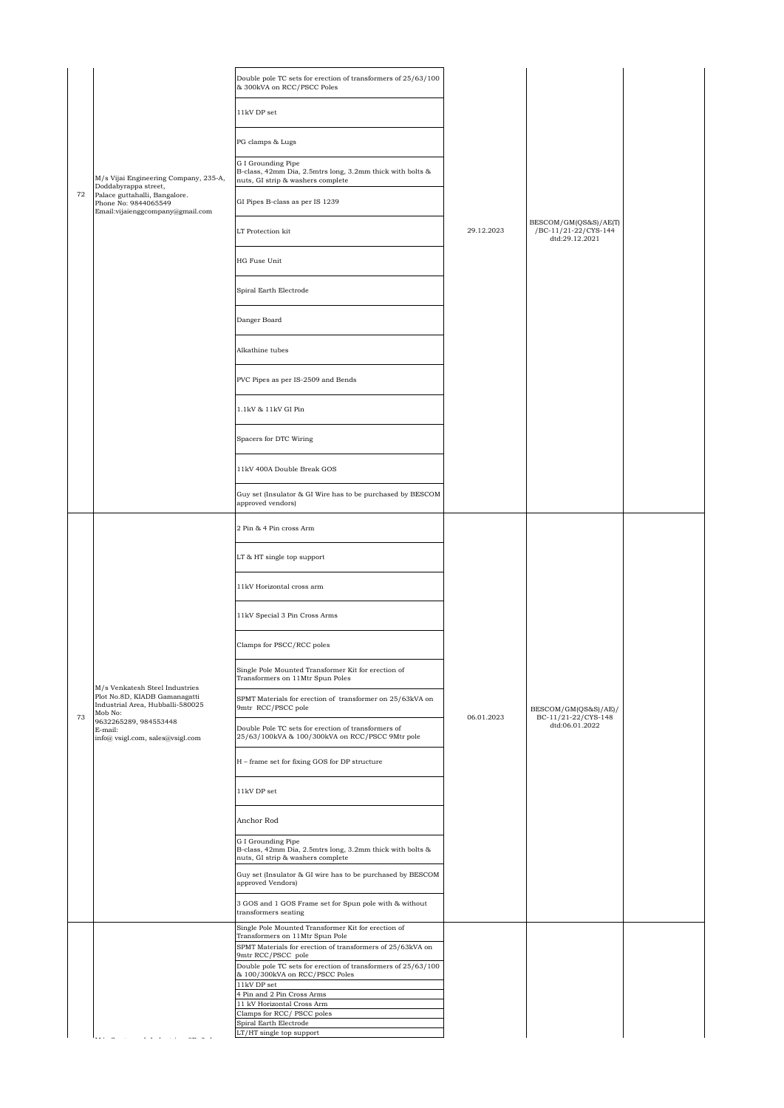|    |                                                                                                                                                             | Double pole TC sets for erection of transformers of 25/63/100<br>& 300kVA on RCC/PSCC Poles                                                          |            |                                                                 |  |
|----|-------------------------------------------------------------------------------------------------------------------------------------------------------------|------------------------------------------------------------------------------------------------------------------------------------------------------|------------|-----------------------------------------------------------------|--|
|    | M/s Vijai Engineering Company, 235-A,<br>Doddabyrappa street,<br>Palace guttahalli, Bangalore.<br>Phone No: 9844065549<br>Email: vijaienggcompany@gmail.com | 11kV DP set                                                                                                                                          |            |                                                                 |  |
|    |                                                                                                                                                             | PG clamps & Lugs                                                                                                                                     |            |                                                                 |  |
|    |                                                                                                                                                             | G I Grounding Pipe                                                                                                                                   |            |                                                                 |  |
|    |                                                                                                                                                             | B-class, 42mm Dia, 2.5mtrs long, 3.2mm thick with bolts &<br>nuts, GI strip & washers complete                                                       |            |                                                                 |  |
| 72 |                                                                                                                                                             | GI Pipes B-class as per IS 1239                                                                                                                      |            |                                                                 |  |
|    |                                                                                                                                                             | LT Protection kit                                                                                                                                    | 29.12.2023 | BESCOM/GM(QS&S)/AE(T)<br>/BC-11/21-22/CYS-144<br>dtd:29.12.2021 |  |
|    |                                                                                                                                                             | HG Fuse Unit                                                                                                                                         |            |                                                                 |  |
|    |                                                                                                                                                             | Spiral Earth Electrode                                                                                                                               |            |                                                                 |  |
|    |                                                                                                                                                             | Danger Board                                                                                                                                         |            |                                                                 |  |
|    |                                                                                                                                                             | Alkathine tubes                                                                                                                                      |            |                                                                 |  |
|    |                                                                                                                                                             | PVC Pipes as per IS-2509 and Bends                                                                                                                   |            |                                                                 |  |
|    |                                                                                                                                                             | 1.1kV & 11kV GI Pin                                                                                                                                  |            |                                                                 |  |
|    |                                                                                                                                                             | Spacers for DTC Wiring                                                                                                                               |            |                                                                 |  |
|    |                                                                                                                                                             | 11kV 400A Double Break GOS                                                                                                                           |            |                                                                 |  |
|    |                                                                                                                                                             | Guy set (Insulator & GI Wire has to be purchased by BESCOM<br>approved vendors)                                                                      |            |                                                                 |  |
|    |                                                                                                                                                             | 2 Pin & 4 Pin cross Arm                                                                                                                              |            | BESCOM/GM(QS&S)/AE)/<br>BC-11/21-22/CYS-148<br>dtd:06.01.2022   |  |
|    |                                                                                                                                                             | LT & HT single top support                                                                                                                           |            |                                                                 |  |
|    |                                                                                                                                                             | 11kV Horizontal cross arm                                                                                                                            |            |                                                                 |  |
|    |                                                                                                                                                             | 11kV Special 3 Pin Cross Arms                                                                                                                        |            |                                                                 |  |
|    |                                                                                                                                                             | Clamps for PSCC/RCC poles                                                                                                                            |            |                                                                 |  |
|    |                                                                                                                                                             | Single Pole Mounted Transformer Kit for erection of<br>Transformers on 11Mtr Spun Poles                                                              |            |                                                                 |  |
|    | M/s Venkatesh Steel Industries<br>Plot No.8D, KIADB Gamanagatti<br>Industrial Area, Hubballi-580025<br>Mob No:                                              | SPMT Materials for erection of transformer on 25/63kVA on<br>9mtr RCC/PSCC pole                                                                      |            |                                                                 |  |
| 73 | 9632265289, 984553448<br>E-mail:<br>info@ vsigl.com, sales@vsigl.com                                                                                        | Double Pole TC sets for erection of transformers of<br>25/63/100kVA & 100/300kVA on RCC/PSCC 9Mtr pole                                               | 06.01.2023 |                                                                 |  |
|    |                                                                                                                                                             | H - frame set for fixing GOS for DP structure                                                                                                        |            |                                                                 |  |
|    |                                                                                                                                                             | 11kV DP set                                                                                                                                          |            |                                                                 |  |
|    |                                                                                                                                                             | Anchor Rod                                                                                                                                           |            |                                                                 |  |
|    |                                                                                                                                                             | G I Grounding Pipe<br>B-class, 42mm Dia, 2.5mtrs long, 3.2mm thick with bolts &<br>nuts, GI strip & washers complete                                 |            |                                                                 |  |
|    |                                                                                                                                                             | Guy set (Insulator & GI wire has to be purchased by BESCOM<br>approved Vendors)                                                                      |            |                                                                 |  |
|    |                                                                                                                                                             | 3 GOS and 1 GOS Frame set for Spun pole with & without<br>transformers seating                                                                       |            |                                                                 |  |
|    |                                                                                                                                                             | Single Pole Mounted Transformer Kit for erection of<br>Transformers on 11Mtr Spun Pole<br>SPMT Materials for erection of transformers of 25/63kVA on |            |                                                                 |  |
|    |                                                                                                                                                             | 9mtr RCC/PSCC pole<br>Double pole TC sets for erection of transformers of 25/63/100<br>& 100/300kVA on RCC/PSCC Poles                                |            |                                                                 |  |
|    |                                                                                                                                                             | $11kV$ DP set $\,$                                                                                                                                   |            |                                                                 |  |
|    |                                                                                                                                                             | 4 Pin and 2 Pin Cross Arms<br>11 kV Horizontal Cross Arm                                                                                             |            |                                                                 |  |
|    |                                                                                                                                                             | Clamps for RCC/ PSCC poles                                                                                                                           |            |                                                                 |  |
|    |                                                                                                                                                             | Spiral Earth Electrode<br>LT/HT single top support                                                                                                   |            |                                                                 |  |
|    |                                                                                                                                                             |                                                                                                                                                      |            |                                                                 |  |